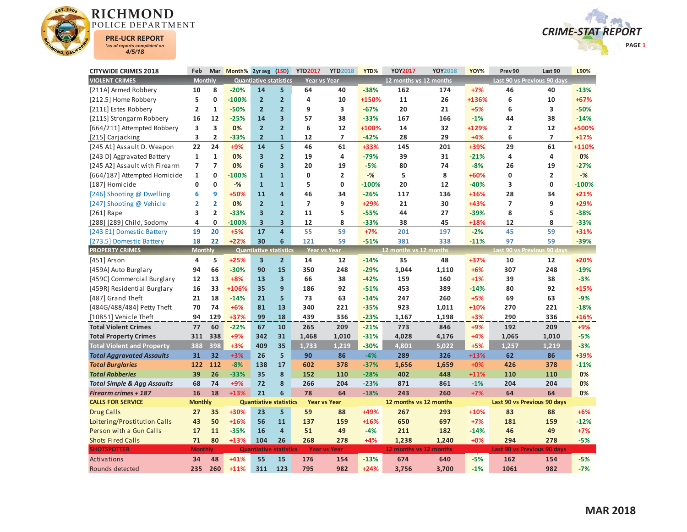



| <b>CITYWIDE CRIMES 2018</b>            | Feb                     |                         | Mar Month% 2yr avg (1SD) |                               |                         | <b>YTD2017</b>           | <b>YTD2018</b>      | YTD%    | <b>YOY2017</b>         | <b>YOY2018</b> | YOY%   | Prev 90                 | Last 90                     | L90%    |
|----------------------------------------|-------------------------|-------------------------|--------------------------|-------------------------------|-------------------------|--------------------------|---------------------|---------|------------------------|----------------|--------|-------------------------|-----------------------------|---------|
| <b>VIOLENT CRIMES</b>                  | <b>Monthly</b>          |                         |                          | <b>Quantiative statistics</b> |                         | Year vs Year             |                     |         | 12 months vs 12 months |                |        |                         | Last 90 vs Previous 90 days |         |
| [211A] Armed Robbery                   | 10                      | 8                       | $-20%$                   | 14                            | 5                       | 64                       | 40                  | $-38%$  | 162                    | 174            | $+7%$  | 46                      | 40                          | $-13%$  |
| [212.5] Home Robbery                   | 5                       | $\mathbf{0}$            | $-100%$                  | $\overline{2}$                | $\overline{2}$          | 4                        | 10                  | +150%   | 11                     | 26             | +136%  | 6                       | 10                          | $+67%$  |
| [211E] Estes Robbery                   | $\overline{2}$          | 1                       | $-50%$                   | $\overline{2}$                | $\overline{2}$          | 9                        | 3                   | $-67%$  | 20                     | 21             | $+5%$  | 6                       | 3                           | $-50%$  |
| [211S] Strongarm Robbery               | 16                      | 12                      | $-25%$                   | 14                            | 3                       | 57                       | 38                  | $-33%$  | 167                    | 166            | $-1%$  | 44                      | 38                          | $-14%$  |
| [664/211] Attempted Robbery            | 3                       | 3                       | 0%                       | $\overline{2}$                | $\overline{2}$          | 6                        | 12                  | +100%   | 14                     | 32             | +129%  | $\overline{\mathbf{2}}$ | 12                          | +500%   |
| [215] Carjacking                       | 3                       | $\overline{2}$          | $-33%$                   | $\overline{2}$                | $\mathbf{1}$            | 12                       | $\overline{7}$      | $-42%$  | 28                     | 29             | $+4%$  | 6                       | $\overline{\phantom{a}}$    | $+17%$  |
| [245 A1] Assault D. Weapon             | 22                      | 24                      | +9%                      | 14                            | $\overline{\mathbf{5}}$ | 46                       | 61                  | +33%    | 145                    | 201            | +39%   | 29                      | 61                          | +110%   |
| [243 D] Aggravated Battery             | $\mathbf{1}$            | $\mathbf{1}$            | 0%                       | $\overline{\mathbf{3}}$       | $\overline{2}$          | 19                       | 4                   | $-79%$  | 39                     | 31             | $-21%$ | 4                       | 4                           | 0%      |
| [245 A2] Assault with Firearm          | $\overline{7}$          | $\overline{7}$          | 0%                       | 6                             | $\overline{\mathbf{3}}$ | 20                       | 19                  | $-5%$   | 80                     | 74             | $-8%$  | 26                      | 19                          | $-27%$  |
| [664/187] Attempted Homicide           | $\mathbf{1}$            | $\mathbf{0}$            | $-100%$                  | $\mathbf{1}$                  | $\mathbf{1}$            | 0                        | $\overline{2}$      | $-$ %   | 5                      | 8              | +60%   | 0                       | $\overline{2}$              | $-%$    |
| [187] Homicide                         | 0                       | $\mathbf{0}$            | $-%$                     | $\mathbf{1}$                  | $\mathbf{1}$            | 5                        | $\mathbf{0}$        | $-100%$ | 20                     | 12             | $-40%$ | 3                       | $\mathbf{0}$                | $-100%$ |
| [246] Shooting @ Dwelling              | 6                       | 9                       | +50%                     | 11                            | 4                       | 46                       | 34                  | $-26%$  | 117                    | 136            | $+16%$ | 28                      | 34                          | $+21%$  |
| [247] Shooting @ Vehicle               | $\overline{2}$          | $\overline{\mathbf{2}}$ | 0%                       | $\overline{2}$                | $\mathbf{1}$            | $\overline{\phantom{a}}$ | 9                   | +29%    | 21                     | 30             | +43%   | $\overline{7}$          | 9                           | +29%    |
| $[261]$ Rape                           | $\overline{\mathbf{3}}$ | $\overline{2}$          | $-33%$                   | $\overline{\mathbf{3}}$       | $\overline{2}$          | 11                       | 5                   | $-55%$  | 44                     | 27             | $-39%$ | 8                       | 5                           | $-38%$  |
| [288] [289] Child, Sodomy              | 4                       | 0                       | $-100%$                  | $\overline{\mathbf{3}}$       | $\overline{\mathbf{3}}$ | 12                       | 8                   | $-33%$  | 38                     | 45             | +18%   | 12                      | 8                           | $-33%$  |
| [243 E1] Domestic Battery              | 19                      | 20                      | $+5%$                    | 17                            | $\overline{a}$          | 55                       | 59                  | $+7%$   | 201                    | 197            | $-2%$  | 45                      | 59                          | +31%    |
| [273.5] Domestic Battery               | 18                      | 22                      | $+22%$                   | 30                            | 6                       | 121                      | 59                  | $-51%$  | 381                    | 338            | $-11%$ | 97                      | 59                          | $-39%$  |
| <b>PROPERTY CRIMES</b>                 | <b>Monthly</b>          |                         |                          | <b>Quantiative statistics</b> |                         | <b>Year vs Year</b>      |                     |         | 12 months vs 12 months |                |        |                         | Last 90 vs Previous 90 days |         |
| [451] Arson                            | 4                       | 5                       | $+25%$                   | $\overline{\mathbf{3}}$       | $\overline{2}$          | 14                       | 12                  | $-14%$  | 35                     | 48             | +37%   | 10                      | 12                          | $+20%$  |
| [459A] Auto Burglary                   | 94                      | 66                      | $-30%$                   | 90                            | 15                      | 350                      | 248                 | $-29%$  | 1,044                  | 1,110          | $+6%$  | 307                     | 248                         | $-19%$  |
| [459C] Commercial Burglary             | 12                      | 13                      | $+8%$                    | 13                            | 3                       | 66                       | 38                  | $-42%$  | 159                    | 160            | $+1%$  | 39                      | 38                          | $-3%$   |
| [459R] Residential Burglary            | 16                      | 33                      | +106%                    | 35                            | 9                       | 186                      | 92                  | $-51%$  | 453                    | 389            | $-14%$ | 80                      | 92                          | $+15%$  |
| [487] Grand Theft                      | 21                      | 18                      | $-14%$                   | 21                            | 5                       | 73                       | 63                  | $-14%$  | 247                    | 260            | $+5%$  | 69                      | 63                          | $-9%$   |
| [484G/488/484] Petty Theft             | 70                      | 74                      | $+6%$                    | 81                            | 13                      | 340                      | 221                 | $-35%$  | 923                    | 1,011          | $+10%$ | 270                     | 221                         | $-18%$  |
| [10851] Vehicle Theft                  | 94                      | 129                     | +37%                     | 99                            | 18                      | 439                      | 336                 | $-23%$  | 1,167                  | 1,198          | $+3%$  | 290                     | 336                         | +16%    |
| <b>Total Violent Crimes</b>            | 77                      | 60                      | $-22%$                   | 67                            | 10                      | 265                      | 209                 | $-21%$  | 773                    | 846            | $+9%$  | 192                     | 209                         | $+9%$   |
| <b>Total Property Crimes</b>           | 311                     | 338                     | +9%                      | 342                           | 31                      | 1,468                    | 1,010               | $-31%$  | 4,028                  | 4,176          | $+4%$  | 1,065                   | 1,010                       | $-5%$   |
| <b>Total Violent and Property</b>      | 388                     | 398                     | $+3%$                    | 409                           | 35                      | 1,733                    | 1.219               | $-30%$  | 4,801                  | 5.022          | $+5%$  | 1.257                   | 1,219                       | $-3%$   |
| <b>Total Aggravated Assaults</b>       | 31                      | 32                      | $+3%$                    | 26                            | 5                       | 90                       | 86                  | $-4%$   | 289                    | 326            | +13%   | 62                      | 86                          | +39%    |
| <b>Total Burglaries</b>                | 122                     | 112                     | $-8%$                    | 138                           | 17                      | 602                      | 378                 | $-37%$  | 1,656                  | 1,659          | $+0%$  | 426                     | 378                         | $-11%$  |
| <b>Total Robberies</b>                 | 39                      | 26                      | $-33%$                   | 35                            | 8                       | 152                      | 110                 | $-28%$  | 402                    | 448            | $+11%$ | 110                     | 110                         | 0%      |
| <b>Total Simple &amp; Agg Assaults</b> | 68                      | 74                      | +9%                      | 72                            | 8                       | 266                      | 204                 | $-23%$  | 871                    | 861            | $-1%$  | 204                     | 204                         | 0%      |
| <b>Firearm crimes + 187</b>            | 16                      | 18                      | $+13%$                   | 21                            | 6                       | 78                       | 64                  | $-18%$  | 243                    | 260            | $+7%$  | 64                      | 64                          | 0%      |
| <b>CALLS FOR SERVICE</b>               | <b>Monthly</b>          |                         |                          | <b>Quantiative statistics</b> |                         | <b>Year vs Year</b>      |                     |         | 12 months vs 12 months |                |        |                         | Last 90 vs Previous 90 days |         |
| <b>Drug Calls</b>                      | 27                      | 35                      | +30%                     | 23                            | 5                       | 59                       | 88                  | +49%    | 267                    | 293            | $+10%$ | 83                      | 88                          | $+6%$   |
| Loitering/Prostitution Calls           | 43                      | 50                      | $+16%$                   | 56                            | 11                      | 137                      | 159                 | $+16%$  | 650                    | 697            | $+7%$  | 181                     | 159                         | $-12%$  |
| Person with a Gun Calls                | 17                      | 11                      | $-35%$                   | 16                            | $\overline{4}$          | 51                       | 49                  | $-4%$   | 211                    | 182            | $-14%$ | 46                      | 49                          | $+7%$   |
| <b>Shots Fired Calls</b>               | 71                      | 80                      | $+13%$                   | 104                           | 26                      | 268                      | 278                 | $+4%$   | 1,238                  | 1,240          | $+0%$  | 294                     | 278                         | $-5%$   |
| <b>SHOTSPOTTER</b>                     | <b>Monthly</b>          |                         |                          | <b>Quantiative statistics</b> |                         |                          | <b>Year vs Year</b> |         | 12 months vs 12 months |                |        |                         | Last 90 vs Previous 90 days |         |
| Activations                            | 34                      | 48                      | $+41%$                   | 55                            | 15                      | 176                      | 154                 | $-13%$  | 674                    | 640            | $-5%$  | 162                     | 154                         | $-5%$   |
| Rounds detected                        | 235                     | 260                     | $+11%$                   | 311                           | 123                     | 795                      | 982                 | $+24%$  | 3.756                  | 3.700          | $-1%$  | 1061                    | 982                         | $-7%$   |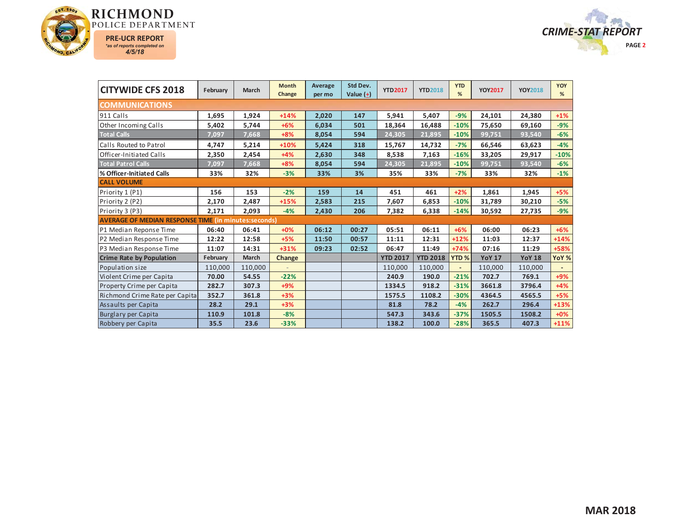



| <b>CITYWIDE CFS 2018</b>                                    | February | March   | <b>Month</b><br>Change | Average<br>per mo | Std Dev.<br>Value $(\pm)$ | <b>YTD2017</b>  | <b>YTD2018</b>  | <b>YTD</b><br>%  | <b>YOY2017</b> | <b>YOY2018</b> | YOY<br>% |
|-------------------------------------------------------------|----------|---------|------------------------|-------------------|---------------------------|-----------------|-----------------|------------------|----------------|----------------|----------|
| <b>COMMUNICATIONS</b>                                       |          |         |                        |                   |                           |                 |                 |                  |                |                |          |
| 911 Calls                                                   | 1,695    | 1,924   | $+14%$                 | 2,020             | 147                       | 5,941           | 5,407           | $-9%$            | 24,101         | 24,380         | $+1%$    |
| Other Incoming Calls                                        | 5,402    | 5,744   | $+6%$                  | 6,034             | 501                       | 18,364          | 16,488          | $-10%$           | 75,650         | 69,160         | $-9%$    |
| <b>Total Calls</b>                                          | 7,097    | 7,668   | $+8%$                  | 8,054             | 594                       | 24,305          | 21,895          | $-10%$           | 99,751         | 93,540         | $-6%$    |
| Calls Routed to Patrol                                      | 4,747    | 5,214   | $+10%$                 | 5,424             | 318                       | 15,767          | 14,732          | $-7%$            | 66,546         | 63,623         | $-4%$    |
| Officer-Initiated Calls                                     | 2,350    | 2,454   | $+4%$                  | 2,630             | 348                       | 8,538           | 7,163           | $-16%$           | 33,205         | 29,917         | $-10%$   |
| <b>Total Patrol Calls</b>                                   | 7,097    | 7,668   | $+8%$                  | 8,054             | 594                       | 24,305          | 21,895          | $-10%$           | 99,751         | 93,540         | $-6%$    |
| % Officer-Initiated Calls                                   | 33%      | 32%     | $-3%$                  | 33%               | 3%                        | 35%             | 33%             | $-7%$            | 33%            | 32%            | $-1%$    |
| <b>CALL VOLUME</b>                                          |          |         |                        |                   |                           |                 |                 |                  |                |                |          |
| Priority 1 (P1)                                             | 156      | 153     | $-2%$                  | 159               | 14                        | 451             | 461             | $+2%$            | 1,861          | 1,945          | $+5%$    |
| Priority 2 (P2)                                             | 2,170    | 2,487   | $+15%$                 | 2,583             | 215                       | 7,607           | 6,853           | $-10%$           | 31,789         | 30,210         | $-5%$    |
| Priority 3 (P3)                                             | 2,171    | 2,093   | $-4%$                  | 2,430             | 206                       | 7,382           | 6,338           | $-14%$           | 30,592         | 27,735         | $-9%$    |
| <b>AVERAGE OF MEDIAN RESPONSE TIME (in minutes:seconds)</b> |          |         |                        |                   |                           |                 |                 |                  |                |                |          |
| P1 Median Reponse Time                                      | 06:40    | 06:41   | $+0%$                  | 06:12             | 00:27                     | 05:51           | 06:11           | $+6%$            | 06:00          | 06:23          | $+6%$    |
| P2 Median Response Time                                     | 12:22    | 12:58   | $+5%$                  | 11:50             | 00:57                     | 11:11           | 12:31           | $+12%$           | 11:03          | 12:37          | $+14%$   |
| P3 Median Response Time                                     | 11:07    | 14:31   | $+31%$                 | 09:23             | 02:52                     | 06:47           | 11:49           | $+74%$           | 07:16          | 11:29          | +58%     |
| <b>Crime Rate by Population</b>                             | February | March   | Change                 |                   |                           | <b>YTD 2017</b> | <b>YTD 2018</b> | YTD <sub>%</sub> | <b>YoY 17</b>  | <b>YoY 18</b>  | YoY %    |
| Population size                                             | 110,000  | 110,000 |                        |                   |                           | 110,000         | 110,000         | $\overline{a}$   | 110,000        | 110,000        |          |
| Violent Crime per Capita                                    | 70.00    | 54.55   | $-22%$                 |                   |                           | 240.9           | 190.0           | $-21%$           | 702.7          | 769.1          | $+9%$    |
| <b>Property Crime per Capita</b>                            | 282.7    | 307.3   | $+9%$                  |                   |                           | 1334.5          | 918.2           | $-31%$           | 3661.8         | 3796.4         | $+4%$    |
| Richmond Crime Rate per Capita                              | 352.7    | 361.8   | $+3%$                  |                   |                           | 1575.5          | 1108.2          | $-30%$           | 4364.5         | 4565.5         | $+5%$    |
| Assaults per Capita                                         | 28.2     | 29.1    | $+3%$                  |                   |                           | 81.8            | 78.2            | $-4%$            | 262.7          | 296.4          | $+13%$   |
| Burglary per Capita                                         | 110.9    | 101.8   | $-8%$                  |                   |                           | 547.3           | 343.6           | $-37%$           | 1505.5         | 1508.2         | $+0%$    |
| Robbery per Capita                                          | 35.5     | 23.6    | $-33%$                 |                   |                           | 138.2           | 100.0           | $-28%$           | 365.5          | 407.3          | $+11%$   |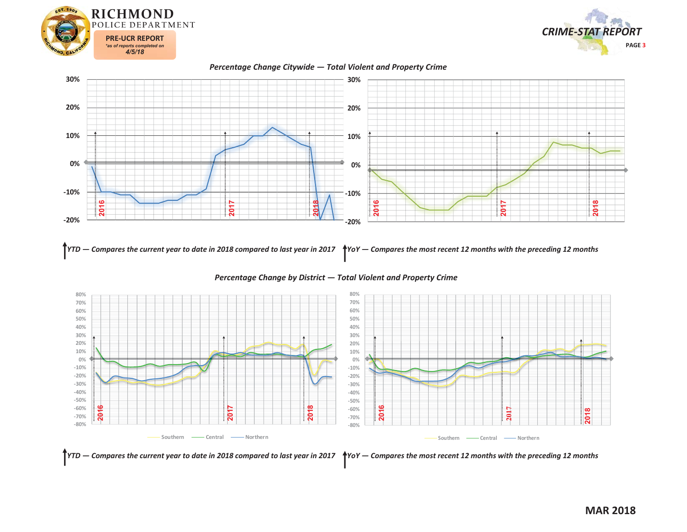



*Percentage Change Citywide — Total Violent and Property Crime*



YTD — Compares the current year to date in 2018 compared to last year in 2017  $\,$  \*YoY — Compares the most recent 12 months with the preceding 12 months



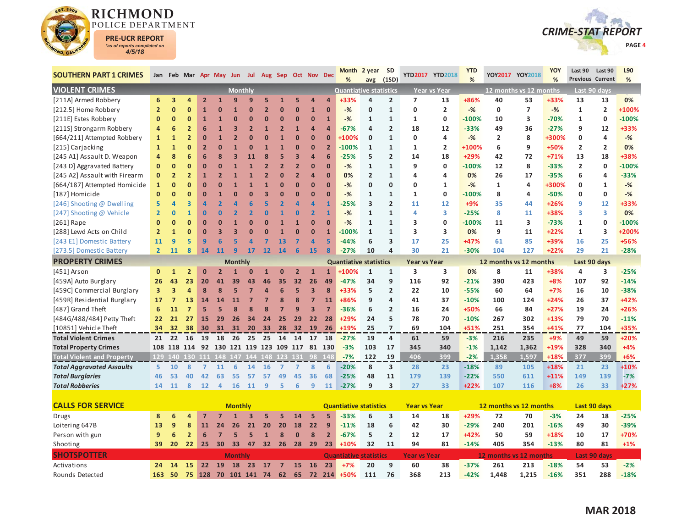

Rounds Detected



| <b>SOUTHERN PART 1 CRIMES</b>     |                |                         |                         |                | Jan Feb Mar Apr May Jun Jul                    |                |                |                         | Aug Sep Oct Nov Dec |                |                         |                 | Month<br>%                    | 2 year<br>avg  | <b>SD</b><br>(1SD)      |                     | YTD2017 YTD2018     | <b>YTD</b><br>% |                        | YOY2017 YOY2018         | YOY<br>% | Last 90<br><b>Previous Current</b> | Last 90                 | L90<br>% |
|-----------------------------------|----------------|-------------------------|-------------------------|----------------|------------------------------------------------|----------------|----------------|-------------------------|---------------------|----------------|-------------------------|-----------------|-------------------------------|----------------|-------------------------|---------------------|---------------------|-----------------|------------------------|-------------------------|----------|------------------------------------|-------------------------|----------|
| <b>VIOLENT CRIMES</b>             |                |                         |                         |                |                                                | <b>Monthly</b> |                |                         |                     |                |                         |                 | <b>Quantiative statistics</b> |                |                         |                     | <b>Year vs Year</b> |                 | 12 months vs 12 months |                         |          |                                    | Last 90 days            |          |
| [211A] Armed Robbery              | 6              | 3                       | 4                       | $\overline{2}$ | $\mathbf{1}$                                   | 9              | g              | 5                       |                     | 5              | 4                       |                 | +33%                          | 4              | $\overline{2}$          | 7                   | 13                  | +86%            | 40                     | 53                      | +33%     | 13                                 | 13                      | 0%       |
| [212.5] Home Robbery              | $\overline{2}$ | $\mathbf 0$             | $\mathbf{0}$            | 1              | $\Omega$                                       | 1              | $\Omega$       | $\overline{2}$          | $\Omega$            | n              | $\overline{1}$          | $\Omega$        | $-%$                          | 0              | $\mathbf{1}$            | 0                   | $\overline{2}$      | $-%$            | 0                      | $\overline{7}$          | $-$ %    | $\mathbf{1}$                       | $\overline{\mathbf{2}}$ | +100%    |
| [211E] Estes Robbery              | $\mathbf{0}$   | $\mathbf 0$             | $\mathbf{0}$            | $\mathbf{1}$   | $\mathbf{1}$                                   | Ω              | Ω              | n                       | O                   | $\mathbf{0}$   | $\bf{0}$                | $\mathbf{1}$    | $-%$                          | 1              | $\mathbf{1}$            | 1                   | 0                   | $-100%$         | 10                     | 3                       | $-70%$   | 1                                  | $\mathbf 0$             | $-100%$  |
| [211S] Strongarm Robbery          | 4              | 6                       | $\overline{2}$          | 6              | 1                                              | 3              | $\overline{2}$ |                         |                     | 1              | $\overline{a}$          | Δ               | $-67%$                        | 4              | $\overline{2}$          | 18                  | 12                  | $-33%$          | 49                     | 36                      | $-27%$   | 9                                  | 12                      | +33%     |
| [664/211] Attempted Robbery       | $\mathbf{1}$   | $\mathbf{1}$            | $\overline{2}$          | $\bf{0}$       | $\mathbf{1}$                                   |                |                |                         |                     | $\mathbf{0}$   | $\bf{0}$                | $\overline{0}$  | +100%                         | $\mathbf 0$    | $\mathbf{1}$            | 0                   | 4                   | $-%$            | $\mathbf{2}$           | 8                       | +300%    | 0                                  | 4                       | $-%$     |
| [215] Carjacking                  | $\mathbf{1}$   | $\mathbf{1}$            | $\bf{0}$                | $\overline{2}$ | $\Omega$                                       |                |                |                         |                     |                | $\bf{0}$                | $\overline{2}$  | $-100%$                       | $\mathbf{1}$   | $\mathbf{1}$            | 1                   | 2                   | +100%           | 6                      | 9                       | +50%     | $\overline{2}$                     | $\overline{2}$          | 0%       |
| [245 A1] Assault D. Weapon        | 4              | 8                       | 6                       | 6              | 8                                              | 3              | 11             | 8                       |                     | 3              | $\overline{a}$          | $6\overline{6}$ | $-25%$                        | 5              | $\overline{2}$          | 14                  | 18                  | +29%            | 42                     | 72                      | $+71%$   | 13                                 | 18                      | +38%     |
| [243 D] Aggravated Battery        | $\mathbf{0}$   | $\bf{0}$                | $\mathbf{0}$            | $\mathbf{0}$   | $\Omega$                                       |                |                | $\overline{2}$          | $\overline{2}$      | $\overline{2}$ | $\Omega$                | n               | $-%$                          | $\mathbf{1}$   | $\mathbf{1}$            | 9                   | 0                   | $-100%$         | 12                     | 8                       | $-33%$   | $\overline{2}$                     | $\mathbf 0$             | $-100%$  |
| [245 A2] Assault with Firearm     | $\mathbf 0$    | $\overline{2}$          | $\overline{2}$          | 1              | $\overline{2}$                                 |                |                |                         |                     | $\overline{2}$ | 4                       | $\mathbf{0}$    | 0%                            | $\overline{2}$ | $\mathbf{1}$            | 4                   | 4                   | 0%              | 26                     | 17                      | $-35%$   | 6                                  | 4                       | $-33%$   |
| [664/187] Attempted Homicide      | $\mathbf{1}$   | $\bf{0}$                | $\bf{0}$                | $\mathbf{0}$   | $\Omega$                                       |                |                |                         |                     | $\overline{0}$ | $\bf{0}$                | $\overline{0}$  | $-%$                          | 0              | $\mathbf 0$             | 0                   | 1                   | $-%$            | $\mathbf{1}$           | 4                       | +300%    | 0                                  | 1                       | $-%$     |
| [187] Homicide                    | $\Omega$       | $\Omega$                | $\mathbf{0}$            | $\mathbf{0}$   | $\mathbf{1}$                                   | O              | $\Omega$       | $\overline{\mathbf{3}}$ |                     | n              | $\Omega$                | $\Omega$        | $-%$                          | $\mathbf{1}$   | $\mathbf{1}$            | 1                   | 0                   | $-100%$         | 8                      | 4                       | $-50%$   | O                                  | 0                       | $-%$     |
| [246] Shooting @ Dwelling         | 5              | $\overline{a}$          | $\overline{\mathbf{3}}$ | 4              | $\overline{2}$                                 |                |                |                         |                     |                | $\overline{a}$          | 1               | $-25%$                        | 3              | $\overline{2}$          | 11                  | 12                  | $+9%$           | 35                     | 44                      | $+26%$   | 9                                  | 12                      | +33%     |
| [247] Shooting @ Vehicle          | $\overline{2}$ | $\mathbf 0$             | $\mathbf{1}$            | $\bf{0}$       | $\Omega$                                       |                |                |                         |                     | 0              | $\overline{2}$          | $\overline{1}$  | $-$ %                         | $\mathbf{1}$   | $\mathbf{1}$            | 4                   | 3                   | $-25%$          | 8                      | 11                      | +38%     | 3                                  | 3                       | 0%       |
| $[261]$ Rape                      | $\mathbf{0}$   | $\bf{0}$                | $\mathbf{0}$            | $\bf{0}$       | $\Omega$                                       |                | $\Omega$       |                         |                     |                | $\Omega$                | $\overline{0}$  | $-%$                          | $\mathbf{1}$   | $\mathbf{1}$            | 3                   | 0                   | $-100%$         | 11                     | $\overline{\mathbf{3}}$ | $-73%$   | 1                                  | 0                       | $-100%$  |
| [288] Lewd Acts on Child          | $\overline{2}$ | $\mathbf{1}$            | $\mathbf{0}$            | $\mathbf{0}$   | 3                                              | 3              |                |                         |                     | $\mathbf{0}$   | $\Omega$                | $\overline{1}$  | $-100%$                       | $\mathbf{1}$   | $\mathbf{1}$            | 3                   | 3                   | 0%              | 9                      | 11                      | $+22%$   | $\mathbf{1}$                       | 3                       | +200%    |
| [243 E1] Domestic Battery         | 11             | 9                       | 5                       | 9              | 6                                              | 5              | Δ              |                         | 13                  |                | Δ                       | 5               | $-44%$                        | 6              | $\overline{\mathbf{3}}$ | 17                  | 25                  | +47%            | 61                     | 85                      | +39%     | 16                                 | 25                      | +56%     |
| [273.5] Domestic Battery          | $\overline{2}$ | 11                      | 8                       | 14             | 11                                             | q              | 17             | 12                      | 14                  | 6              | 15                      | 8               | $-27%$                        | 10             | $\overline{a}$          | 30                  | 21                  | $-30%$          | 104                    | 127                     | $+22%$   | 29                                 | 21                      | $-28%$   |
| <b>PROPERTY CRIMES</b>            |                |                         |                         |                |                                                | <b>Monthly</b> |                |                         |                     |                |                         |                 | <b>Quantiative statistics</b> |                |                         | Year vs Year        |                     |                 | 12 months vs 12 months |                         |          | Last 90 days                       |                         |          |
| [451] Arson                       | $\mathbf{0}$   | $\mathbf{1}$            | $\overline{2}$          | $\Omega$       |                                                |                |                |                         |                     |                | $\mathbf{1}$            | $\mathbf{1}$    | +100%                         | $\mathbf{1}$   | $\mathbf{1}$            | 3                   | 3                   | 0%              | 8                      | 11                      | +38%     | 4                                  | 3                       | $-25%$   |
| [459A] Auto Burglary              | 26             | 43                      | 23                      | 20             | 41                                             | 39             | 43             | 46                      | 35                  | 32             | 26                      | 49              | $-47%$                        | 34             | 9                       | 116                 | 92                  | $-21%$          | 390                    | 423                     | $+8%$    | 107                                | 92                      | $-14%$   |
| [459C] Commercial Burglary        | 3              | $\overline{\mathbf{3}}$ | 4                       | 8              | 8                                              | 5              | 7              | $\overline{a}$          | 6                   | 5              | $\overline{\mathbf{3}}$ | 8               | +33%                          | 5              | $\overline{2}$          | 22                  | 10                  | $-55%$          | 60                     | 64                      | $+7%$    | 16                                 | 10                      | $-38%$   |
| [459R] Residential Burglary       | 17             | $\overline{7}$          | 13                      | 14             | 14                                             | 11             | 7              |                         | $\mathbf{8}$        | 8              | $\overline{7}$          | 11              | +86%                          | 9              | $\overline{a}$          | 41                  | 37                  | $-10%$          | 100                    | 124                     | $+24%$   | 26                                 | 37                      | +42%     |
| [487] Grand Theft                 | 6              | 11                      | $\overline{7}$          | 5              | 5                                              | 8              | 8              |                         |                     | 9              | 3                       | $\overline{7}$  | $-36%$                        | 6              | $\overline{2}$          | 16                  | 24                  | +50%            | 66                     | 84                      | $+27%$   | 19                                 | 24                      | $+26%$   |
| [484G/488/484] Petty Theft        | 22             | 21                      | 27                      | 15             | 29                                             | 26             | 34             | 24                      | 25                  | 29             | 22                      | 28              | $+29%$                        | 24             | 5                       | 78                  | 70                  | $-10%$          | 267                    | 302                     | $+13%$   | 79                                 | 70                      | $-11%$   |
| [10851] Vehicle Theft             | 34             | 32                      | 38                      | 30             | 31                                             | 31             | 20             | 33                      | 28                  | 32             | <b>19</b>               | 26              | $+19%$                        | 25             | $\overline{7}$          | 69                  | 104                 | $+51%$          | 251                    | 354                     | $+41%$   | 77                                 | 104                     | +35%     |
| <b>Total Violent Crimes</b>       | 21             |                         | 22 16                   | 19             | 18                                             | 26             | 25             | 25                      | 14                  | 14             | 17                      | 18              | $-27%$                        | 19             | $\overline{4}$          | 61                  | 59                  | $-3%$           | 216                    | 235                     | $+9%$    | 49                                 | 59                      | $+20%$   |
| <b>Total Property Crimes</b>      |                |                         |                         |                | 108 118 114 92 130 121 119 123 109 117 81 130  |                |                |                         |                     |                |                         |                 | $-3%$                         | 103            | 17                      | 345                 | 340                 | $-1%$           | 1,142                  | 1,362                   | +19%     | 328                                | 340                     | $+4%$    |
| <b>Total Violent and Property</b> |                |                         |                         |                | 129 140 130 111 148 147 144 148 123 131 98 148 |                |                |                         |                     |                |                         |                 | $-7%$                         | 122            | 19                      | 406                 | 399                 | $-2%$           | 1.358                  | 1,597                   | +18%     | 377                                | 399                     | $+6%$    |
| <b>Total Aggravated Assaults</b>  | 5.             | 10                      | 8                       | $\overline{7}$ | 11                                             | 6              | 14             | 16                      |                     | $\mathbf{z}$   | 8                       | 6               | $-20%$                        | 8              | 3                       | 28                  | 23                  | $-18%$          | 89                     | 105                     | $+18%$   | 21                                 | 23                      | $+10%$   |
| <b>Total Burglaries</b>           | 46             | 53                      | 40                      | 42             | 63                                             | 55             | 57             | 57                      | 49                  | 45             | 36                      | 68              | $-25%$                        | 48             | 11                      | 179                 | 139                 | $-22%$          | 550                    | 611                     | $+11%$   | 149                                | 139                     | $-7%$    |
| <b>Total Robberies</b>            | 14             | 11                      | 8                       | 12             | $\overline{4}$                                 | <b>16</b>      | 11             | 9                       | 5                   | 6              | 9                       | 11              | $-27%$                        | 9              | 3                       | 27                  | 33                  | $+22%$          | 107                    | 116                     | $+8%$    | 26                                 | 33                      | $+27%$   |
|                                   |                |                         |                         |                |                                                |                |                |                         |                     |                |                         |                 |                               |                |                         |                     |                     |                 |                        |                         |          |                                    |                         |          |
| <b>CALLS FOR SERVICE</b>          |                |                         |                         |                |                                                | <b>Monthly</b> |                |                         |                     |                |                         |                 | <b>Quantiative statistics</b> |                |                         | <b>Year vs Year</b> |                     |                 | 12 months vs 12 months |                         |          |                                    | Last 90 days            |          |
| Drugs                             | 8              | 6                       | 4                       | 7              |                                                |                |                |                         |                     | 14             | 5                       | 5               | $-33%$                        | 6              | 3                       | 14                  | 18                  | +29%            | 72                     | 70                      | $-3%$    | 24                                 | 18                      | $-25%$   |
| Loitering 647B                    | 13             | 9                       | 8                       | 11             | 24                                             | 26             | 21             | 20                      | 20                  | 18             | 22                      | 9               | $-11%$                        | 18             | 6                       | 42                  | 30                  | $-29%$          | 240                    | 201                     | $-16%$   | 49                                 | 30                      | $-39%$   |
| Person with gun                   | 9              | 6                       | $\overline{2}$          | 6              | $\overline{7}$                                 | 5              | 5              | $\mathbf{1}$            | 8                   | $\overline{0}$ | 8                       | $\overline{2}$  | $-67%$                        | 5              | $\overline{2}$          | 12                  | 17                  | +42%            | 50                     | 59                      | +18%     | 10                                 | 17                      | +70%     |
| Shooting                          | 39             | 20                      | 22 <sub>2</sub>         | 25             | 30                                             | 33             | 47             |                         | 32 26 28 29         |                |                         | 23              | $+10%$                        | 32             | 11                      | 94                  | 81                  | $-14%$          | 405                    | 354                     | $-13%$   | 80                                 | 81                      | $+1%$    |
| <b>SHOTSPOTTER</b>                |                |                         |                         |                |                                                | <b>Monthly</b> |                |                         |                     |                |                         |                 | <b>Quantiative statistics</b> |                |                         | <b>Year vs Year</b> |                     |                 | 12 months vs 12 months |                         |          |                                    | <b>Last 90 days</b>     |          |
| Activations                       |                | 24 14 15                |                         |                | 22 19                                          | 18             |                | 23 17 7 15 16           |                     |                |                         | 23              | $+7%$                         | 20             | q                       | 60                  | 38                  | $-37%$          | 261                    | 213                     | $-18%$   | 54                                 | 53                      | $-2%$    |

**163 50 75 128 70 101 141 74 62 65 72 214 +50%**

**111 76 368 213 -42% 1,448 1,215 -16% 351 288 -18%**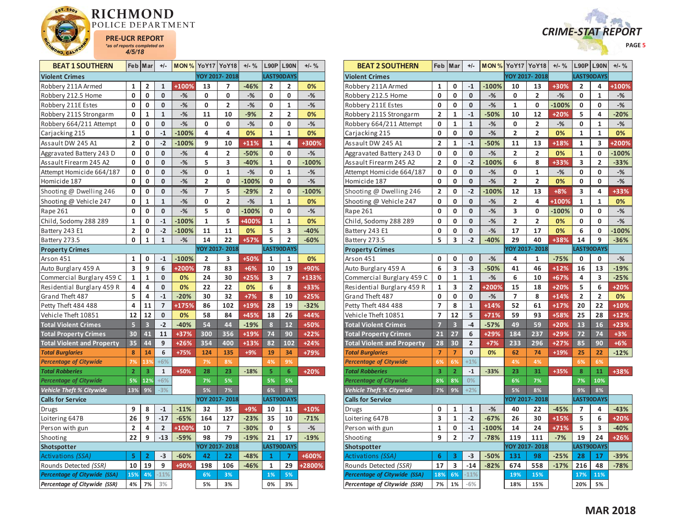



| <b>BEAT 1 SOUTHERN</b>            |                | Feb Mar        | $+/-$          | MON %   |                | YoY17 YoY18    | $+/-$ % |              | $L90P$   L90N | $+/-$ % |
|-----------------------------------|----------------|----------------|----------------|---------|----------------|----------------|---------|--------------|---------------|---------|
| <b>Violent Crimes</b>             |                |                |                |         |                | YOY 2017-2018  |         |              | LAST90DAYS    |         |
| Robbery 211A Armed                | 1              | $\overline{2}$ | 1              | +100%   | 13             | 7              | $-46%$  | 2            | 2             | 0%      |
| Robbery 212.5 Home                | 0              | 0              | $\bf{0}$       | $-%$    | 0              | 0              | $-$ %   | 0            | 0             | $-$ %   |
| Robbery 211E Estes                | 0              | 0              | 0              | $-%$    | 0              | 2              | $-%$    | 0            | 1             | $-$ %   |
| Robbery 211S Strongarm            | 0              | 1              | 1              | $-%$    | 11             | 10             | $-9%$   | 2            | 2             | 0%      |
| Robbery 664/211 Attempt           | 0              | 0              | 0              | $-%$    | 0              | 0              | $-%$    | 0            | 0             | $-%$    |
| Carjacking 215                    | $\mathbf 1$    | 0              | $-1$           | $-100%$ | 4              | 4              | 0%      | $\mathbf{1}$ | $\mathbf{1}$  | 0%      |
| Assault DW 245 A1                 | $\overline{2}$ | 0              | $-2$           | $-100%$ | 9              | 10             | $+11%$  | $\mathbf{1}$ | 4             | +300%   |
| Aggravated Battery 243 D          | 0              | $\mathbf 0$    | $\mathbf 0$    | $-$ %   | 4              | 2              | $-50%$  | 0            | 0             | $-$ %   |
| Assault Firearm 245 A2            | 0              | 0              | 0              | $-%$    | 5              | 3              | $-40%$  | 1            | 0             | $-100%$ |
| Attempt Homicide 664/187          | 0              | 0              | 0              | $-$ %   | 0              | $\mathbf{1}$   | $-%$    | 0            | $\mathbf{1}$  | $-$ %   |
| Homicide 187                      | 0              | 0              | 0              | $-%$    | 2              | 0              | $-100%$ | 0            | 0             | $-$ %   |
| Shooting @ Dwelling 246           | 0              | 0              | 0              | $-%$    | 7              | 5              | $-29%$  | 2            | 0             | $-100%$ |
| Shooting @ Vehicle 247            | 0              | $\mathbf{1}$   | $\mathbf{1}$   | $-$ %   | 0              | $\overline{2}$ | $-%$    | $\mathbf{1}$ | $\mathbf{1}$  | 0%      |
| Rape 261                          | 0              | 0              | 0              | $-%$    | 5              | 0              | $-100%$ | 0            | 0             | $-%$    |
| Child, Sodomy 288 289             | $\mathbf 1$    | 0              | $^{\rm -1}$    | $-100%$ | 1              | 5              | +400%   | $\mathbf{1}$ | 1             | 0%      |
| Battery 243 E1                    | $\overline{2}$ | 0              | $-2$           | $-100%$ | 11             | 11             | 0%      | 5            | 3             | $-40%$  |
| Battery 273.5                     | 0              | 1              | $\mathbf{1}$   | $-%$    | 14             | 22             | +57%    | 5            | 2             | $-60%$  |
| <b>Property Crimes</b>            |                |                |                |         |                | YOY 2017-2018  |         |              | LAST90DAYS    |         |
| Arson 451                         | 1              | 0              | $-1$           | $-100%$ | $\overline{2}$ | 3              | +50%    | 1            | 1             | 0%      |
| Auto Burglary 459 A               | 3              | 9              | 6              | +200%   | 78             | 83             | $+6%$   | 10           | 19            | +90%    |
| Commercial Burglary 459 C         | 1              | 1              | 0              | 0%      | 24             | 30             | $+25%$  | 3            | 7             | +133%   |
| Residential Burglary 459 R        | 4              | 4              | 0              | 0%      | 22             | 22             | 0%      | 6            | 8             | +33%    |
| Grand Theft 487                   | 5              | 4              | $-1$           | $-20%$  | 30             | 32             | $+7%$   | 8            | 10            | $+25%$  |
| Petty Theft 484 488               | 4              | 11             | $\overline{7}$ | +175%   | 86             | 102            | $+19%$  | 28           | 19            | $-32%$  |
| Vehicle Theft 10851               | 12             | 12             | 0              | 0%      | 58             | 84             | +45%    | 18           | 26            | +44%    |
| <b>Total Violent Crimes</b>       | 5              | 3              | $-2$           | $-40%$  | 54             | 44             | $-19%$  | 8            | 12            | +50%    |
| <b>Total Property Crimes</b>      | 30             | 41             | 11             | $+37%$  | 300            | 356            | +19%    | 74           | 90            | $+22%$  |
| <b>Total Violent and Property</b> | 35             | 44             | 9              | $+26%$  | 354            | 400            | $+13%$  | 82           | 102           | $+24%$  |
| <b>Total Burglaries</b>           | 8              | 14             | 6              | $+75%$  | 124            | 135            | $+9%$   | 19           | 34            | +79%    |
| <b>Percentage of Citywide</b>     | 7%             | 13%            | $+6%$          |         | 7%             | 8%             |         | 4%           | 9%            |         |
| <b>Total Robberies</b>            | $\overline{2}$ | 3              | $\mathbf{1}$   | +50%    | 28             | 23             | $-18%$  | 5            | 6             | $+20%$  |
| <b>Percentage of Citywide</b>     | 5%             | 12%            | $+6%$          |         | 7%             | 5%             |         | 5%           | 5%            |         |
| <b>Vehicle Theft % Citywide</b>   | 13%            | 9%             | $-3%$          |         | 5%             | 7%             |         | 6%           | 8%            |         |
| <b>Calls for Service</b>          |                |                |                |         |                | YOY 2017-2018  |         |              | LAST90DAYS    |         |
| Drugs                             | 9              | 8              | $-1$           | $-11%$  | 32             | 35             | +9%     | 10           | 11            | $+10%$  |
| Loitering 647B                    | 26             | 9              | $-17$          | $-65%$  | 164            | 127            | $-23%$  | 35           | 10            | $-71%$  |
| Person with gun                   | 2              | 4              | $\overline{2}$ | +100%   | 10             | 7              | $-30%$  | 0            | 5             | $-$ %   |
| Shooting                          | 22             | 9              | $-13$          | $-59%$  | 98             | 79             | $-19%$  | 21           | 17            | $-19%$  |
| Shotspotter                       |                |                |                |         |                | YOY 2017-2018  |         |              | LAST90DAYS    |         |
| Activations (SSA)                 | 5              | $\overline{2}$ | -3             | $-60%$  | 42             | 22             | $-48%$  | 1            | 7             | +600%   |
| Rounds Detected (SSR)             | 10             | 19             | 9              | +90%    | 198            | 106            | $-46%$  | 1            | 29            | +2800%  |
| Percentage of Citywide (SSA)      | 15%            | 4%             | $-11%$         |         | 6%             | 3%             |         | 1%           | 5%            |         |
| Percentage of Citywide (SSR)      | 4%             | 7%             | 3%             |         | 5%             | 3%             |         | 0%           | 3%            |         |

| <b>BEAT 2 SOUTHERN</b>              |                         | Feb   Mar               | $+/-$                   |         | <b>MON % YoY17 YoY18</b> |                | $+/-$ % |              | $L90P$ L90N    | $+/-$ % |
|-------------------------------------|-------------------------|-------------------------|-------------------------|---------|--------------------------|----------------|---------|--------------|----------------|---------|
| <b>Violent Crimes</b>               |                         |                         |                         |         |                          | YOY 2017-2018  |         |              | LAST90DAYS     |         |
| Robbery 211A Armed                  | 1                       | 0                       | $-1$                    | $-100%$ | 10                       | 13             | +30%    | 2            | 4              | +100%   |
| Robbery 212.5 Home                  | 0                       | 0                       | $\mathbf{0}$            | $-$ %   | 0                        | 2              | $-$ %   | 0            | 1              | $-%$    |
| Robbery 211E Estes                  | 0                       | 0                       | 0                       | $-$ %   | $\mathbf{1}$             | 0              | $-100%$ | 0            | 0              | $-$ %   |
| Robbery 211S Strongarm              | 2                       | $\mathbf{1}$            | $-1$                    | $-50%$  | 10                       | 12             | $+20%$  | 5            | 4              | $-20%$  |
| Robbery 664/211 Attempt             | 0                       | $\mathbf{1}$            | $\mathbf{1}$            | $-$ %   | 0                        | $\overline{2}$ | $-$ %   | 0            | $\mathbf{1}$   | $-$ %   |
| Carjacking 215                      | 0                       | 0                       | 0                       | $-%$    | 2                        | 2              | 0%      | $\mathbf{1}$ | $\mathbf{1}$   | 0%      |
| Assault DW 245 A1                   | 2                       | $\mathbf{1}$            | $-1$                    | $-50%$  | 11                       | 13             | +18%    | 1            | 3              | +200%   |
| Aggravated Battery 243 D            | 0                       | 0                       | $\pmb{0}$               | $-%$    | 2                        | 2              | 0%      | 1            | 0              | $-100%$ |
| Assault Firearm 245 A2              | $\overline{2}$          | 0                       | $-2$                    | $-100%$ | 6                        | 8              | +33%    | 3            | $\overline{2}$ | $-33%$  |
| Attempt Homicide 664/187            | 0                       | 0                       | 0                       | $-%$    | 0                        | 1              | $-$ %   | 0            | 0              | $-%$    |
| Homicide 187                        | 0                       | 0                       | 0                       | $-%$    | 2                        | 2              | 0%      | 0            | 0              | $-$ %   |
| Shooting @ Dwelling 246             | $\overline{\mathbf{c}}$ | 0                       | $-2$                    | $-100%$ | 12                       | 13             | $+8%$   | 3            | 4              | +33%    |
| Shooting @ Vehicle 247              | 0                       | 0                       | $\mathbf{0}$            | $-$ %   | $\overline{2}$           | 4              | +100%   | $\mathbf{1}$ | $\mathbf{1}$   | 0%      |
| Rape 261                            | 0                       | 0                       | 0                       | $-%$    | 3                        | 0              | $-100%$ | 0            | 0              | $-%$    |
| Child, Sodomy 288 289               | 0                       | 0                       | $\mathbf{0}$            | $-$ %   | $\overline{2}$           | $\overline{2}$ | 0%      | 0            | 0              | $-$ %   |
| Battery 243 E1                      | 0                       | 0                       | $\mathbf 0$             | $-$ %   | 17                       | 17             | 0%      | 6            | 0              | $-100%$ |
| Battery 273.5                       | 5                       | 3                       | $-2$                    | $-40%$  | 29                       | 40             | $+38%$  | 14           | 9              | $-36%$  |
| <b>Property Crimes</b>              |                         |                         |                         |         |                          | YOY 2017-2018  |         |              | LAST90DAYS     |         |
| Arson 451                           | 0                       | 0                       | 0                       | $-%$    | 4                        | 1              | $-75%$  | 0            | 0              | $-$ %   |
| Auto Burglary 459 A                 | 6                       | 3                       | $-3$                    | $-50%$  | 41                       | 46             | $+12%$  | 16           | 13             | $-19%$  |
| Commercial Burglary 459 C           | 0                       | $\mathbf{1}$            | $\mathbf{1}$            | $-$ %   | 6                        | 10             | +67%    | 4            | 3              | $-25%$  |
| Residential Burglary 459 R          | $\mathbf{1}$            | 3                       | $\overline{2}$          | +200%   | 15                       | 18             | +20%    | 5            | 6              | +20%    |
| Grand Theft 487                     | 0                       | 0                       | 0                       | $-$ %   | 7                        | 8              | $+14%$  | 2            | 2              | 0%      |
| Petty Theft 484 488                 | 7                       | 8                       | $\overline{\mathbf{1}}$ | $+14%$  | 52                       | 61             | $+17%$  | 20           | 22             | $+10%$  |
| Vehicle Theft 10851                 | 7                       | 12                      | 5                       | $+71%$  | 59                       | 93             | +58%    | 25           | 28             | $+12%$  |
| <b>Total Violent Crimes</b>         | $\overline{7}$          | $\overline{\mathbf{3}}$ | $-4$                    | $-57%$  | 49                       | 59             | +20%    | 13           | 16             | $+23%$  |
| <b>Total Property Crimes</b>        | 21                      | $\overline{27}$         | 6                       | +29%    | 184                      | 237            | +29%    | 72           | 74             | $+3%$   |
| <b>Total Violent and Property</b>   | 28                      | 30                      | $\overline{2}$          | $+7%$   | 233                      | 296            | $+27%$  | 85           | 90             | $+6%$   |
| <b>Total Burglaries</b>             | $\overline{7}$          | $\overline{7}$          | 0                       | 0%      | 62                       | 74             | $+19%$  | 25           | 22             | $-12%$  |
| <b>Percentage of Citywide</b>       | 6%                      | 6%                      | $+1%$                   |         | 4%                       | 4%             |         | 6%           | 6%             |         |
| <b>Total Robberies</b>              | 3                       | $\overline{2}$          | $-1$                    | $-33%$  | 23                       | 31             | +35%    | 8            | 11             | +38%    |
| <b>Percentage of Citywide</b>       | 8%                      | 8%                      | 0%                      |         | 6%                       | 7%             |         | 7%           | 10%            |         |
| Vehicle Theft % Citywide            | 7%                      | 9%                      | $+2%$                   |         | 5%                       | 8%             |         | 9%           | 8%             |         |
| <b>Calls for Service</b>            |                         |                         |                         |         |                          | YOY 2017-2018  |         |              | LAST90DAYS     |         |
| Drugs                               | 0                       | 1                       | $\mathbf{1}$            | $-%$    | 40                       | 22             | $-45%$  | 7            | 4              | $-43%$  |
| Loitering 647B                      | 3                       | $\mathbf{1}$            | $-2$                    | $-67%$  | 26                       | 30             | $+15%$  | 5            | 6              | $+20%$  |
| Person with gun                     | 1                       | 0                       | $-1$                    | $-100%$ | 14                       | 24             | $+71%$  | 5            | 3              | $-40%$  |
| Shooting                            | 9                       | $\overline{2}$          | $-7$                    | $-78%$  | 119                      | 111            | $-7%$   | 19           | 24             | $+26%$  |
| Shotspotter                         |                         |                         |                         |         |                          | YOY 2017-2018  |         |              | LAST90DAYS     |         |
| Activations (SSA)                   | 6                       | 3                       | $-3$                    | $-50%$  | 131                      | 98             | $-25%$  | 28           | 17             | $-39%$  |
| Rounds Detected (SSR)               | 17                      | 3                       | $-14$                   | $-82%$  | 674                      | 558            | $-17%$  | 216          | 48             | $-78%$  |
| <b>Percentage of Citywide (SSA)</b> | 18%                     | 6%                      | $-11%$                  |         | 19%                      | 15%            |         | 17%          | 11%            |         |
| Percentage of Citywide (SSR)        | 7%                      | 1%                      | $-6%$                   |         | 18%                      | 15%            |         | 20%          | 5%             |         |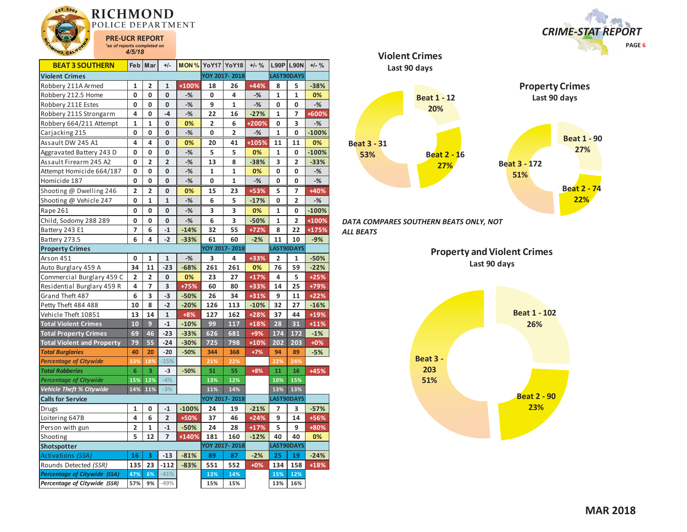

| <b>BEAT 3 SOUTHERN</b>              | <b>Feb</b>     | Mar            | $+/-$          | <b>MON % YoY17 YoY18</b> |     |                | $+/-$ % |                         | <b>L90P L90N</b> | $+/-$ % |
|-------------------------------------|----------------|----------------|----------------|--------------------------|-----|----------------|---------|-------------------------|------------------|---------|
| <b>Violent Crimes</b>               |                |                |                |                          |     | YOY 2017-2018  |         |                         | LAST90DAYS       |         |
| Robbery 211A Armed                  | 1              | 2              | 1              | +100%                    | 18  | 26             | $+44%$  | 8                       | 5                | $-38%$  |
| Robbery 212.5 Home                  | O              | $\mathbf 0$    | O              | $-%$                     | 0   | 4              | $-%$    | 1                       | $\mathbf 1$      | 0%      |
| Robbery 211E Estes                  | 0              | 0              | 0              | $-%$                     | 9   | 1              | $-%$    | 0                       | 0                | $-%$    |
| Robbery 211S Strongarm              | 4              | 0              | $-4$           | $-$ %                    | 22  | 16             | $-27%$  | $\mathbf{1}$            | 7                | +600%   |
| Robbery 664/211 Attempt             | 1              | 1              | 0              | 0%                       | 2   | 6              | +200%   | 0                       | 3                | $-%$    |
| Carjacking 215                      | 0              | 0              | 0              | $-%$                     | 0   | $\overline{2}$ | $-%$    | $\mathbf{1}$            | 0                | $-100%$ |
| Assault DW 245 A1                   | 4              | 4              | 0              | 0%                       | 20  | 41             | $+105%$ | 11                      | 11               | 0%      |
| Aggravated Battery 243 D            | 0              | 0              | 0              | $-%$                     | 5   | 5              | 0%      | 1                       | 0                | $-100%$ |
| Assault Firearm 245 A2              | 0              | $\overline{2}$ | $\overline{2}$ | $-%$                     | 13  | 8              | $-38%$  | 3                       | $\overline{2}$   | $-33%$  |
| Attempt Homicide 664/187            | 0              | 0              | 0              | $-%$                     | 1   | 1              | 0%      | 0                       | 0                | $-%$    |
| Homicide 187                        | 0              | 0              | 0              | $-%$                     | 0   | 1              | $-%$    | 0                       | 0                | $-%$    |
| Shooting @ Dwelling 246             | 2              | 2              | 0              | 0%                       | 15  | 23             | +53%    | 5                       | 7                | +40%    |
| Shooting @ Vehicle 247              | 0              | $\mathbf{1}$   | $\mathbf{1}$   | $-%$                     | 6   | 5              | $-17%$  | 0                       | $\overline{2}$   | $-%$    |
| Rape 261                            | 0              | 0              | 0              | $-%$                     | 3   | 3              | 0%      | 1                       | 0                | $-100%$ |
| Child, Sodomy 288 289               | 0              | 0              | 0              | $-%$                     | 6   | 3              | $-50%$  | 1                       | $\overline{2}$   | +100%   |
| Battery 243 E1                      | 7              | 6              | $-1$           | $-14%$                   | 32  | 55             | $+72%$  | 8                       | 22               | +175%   |
| Battery 273.5                       | 6              | 4              | $-2$           | $-33%$                   | 61  | 60             | $-2%$   | 11                      | 10               | $-9%$   |
| <b>Property Crimes</b>              |                |                |                |                          |     | YOY 2017-2018  |         |                         | LAST90DAYS       |         |
| Arson 451                           | 0              | 1              | $\mathbf{1}$   | $-%$                     | 3   | 4              | +33%    | $\overline{\mathbf{2}}$ | 1                | $-50%$  |
| Auto Burglary 459 A                 | 34             | 11             | $-23$          | $-68%$                   | 261 | 261            | 0%      | 76                      | 59               | $-22%$  |
| Commercial Burglary 459 C           | $\overline{2}$ | $\overline{2}$ | 0              | 0%                       | 23  | 27             | $+17%$  | 4                       | 5                | $+25%$  |
| Residential Burglary 459 R          | 4              | 7              | 3              | $+75%$                   | 60  | 80             | +33%    | 14                      | 25               | +79%    |
| Grand Theft 487                     | 6              | 3              | -3             | $-50%$                   | 26  | 34             | $+31%$  | 9                       | 11               | $+22%$  |
| Petty Theft 484 488                 | 10             | 8              | $-2$           | $-20%$                   | 126 | 113            | $-10%$  | 32                      | 27               | $-16%$  |
| Vehicle Theft 10851                 | 13             | 14             | $\mathbf{1}$   | $+8%$                    | 127 | 162            | $+28%$  | 37                      | 44               | +19%    |
| <b>Total Violent Crimes</b>         | 10             | 9              | $-1$           | $-10%$                   | 99  | 117            | $+18%$  | 28                      | 31               | $+11%$  |
| <b>Total Property Crimes</b>        | 69             | 46             | $-23$          | $-33%$                   | 626 | 681            | $+9%$   | 174                     | 172              | $-1%$   |
| <b>Total Violent and Property</b>   | 79             | 55             | $-24$          | $-30%$                   | 725 | 798            | $+10%$  | 202                     | 203              | $+0%$   |
| <b>Total Burglaries</b>             | 40             | 20             | $-20$          | $-50%$                   | 344 | 368            | $+7%$   | 94                      | 89               | $-5%$   |
| <b>Percentage of Citywide</b>       | 33%            | 18%            | $-15%$         |                          | 21% | 22%            |         | 22%                     | 24%              |         |
| <b>Total Robberies</b>              | 6              | 3              | $-3$           | $-50%$                   | 51  | 55             | $+8%$   | 11                      | 16               | $+45%$  |
| <b>Percentage of Citywide</b>       | 15%            | 12%            | $-4%$          |                          | 13% | 12%            |         | 10%                     | 15%              |         |
| Vehicle Theft % Citywide            | 14%            | 11%            | $-3%$          |                          | 11% | 14%            |         | 13%                     | 13%              |         |
| <b>Calls for Service</b>            |                |                |                |                          |     | YOY 2017-2018  |         |                         | LAST90DAYS       |         |
| <b>Drugs</b>                        | 1              | 0              | $-1$           | $-100%$                  | 24  | 19             | $-21%$  | 7                       | 3                | $-57%$  |
| Loitering 647B                      | 4              | 6              | $\overline{2}$ | $+50%$                   | 37  | 46             | $+24%$  | 9                       | 14               | +56%    |
| Person with gun                     | 2              | 1              | $-1$           | $-50%$                   | 24  | 28             | $+17%$  | 5                       | 9                | +80%    |
| Shooting                            | 5              | 12             | $\overline{7}$ | +140%                    | 181 | 160            | $-12%$  | 40                      | 40               | 0%      |
| Shotspotter                         |                |                |                |                          |     | YOY 2017-2018  |         |                         | LAST90DAYS       |         |
| Activations (SSA)                   | 16             | 3              | $-13$          | $-81%$                   | 89  | 87             | $-2%$   | 25                      | 19               | $-24%$  |
| Rounds Detected (SSR)               | 135            | 23             | $-112$         | $-83%$                   | 551 | 552            | $+0%$   | 134                     | 158              | +18%    |
| <b>Percentage of Citywide (SSA)</b> | 47%            | 6%             | $-41%$         |                          | 13% | 14%            |         | 15%                     | 12%              |         |
| Percentage of Citywide (SSR)        | 57%            | 9%             | $-49%$         |                          | 15% | 15%            |         | 13%                     | 16%              |         |



*DATA COMPARES SOUTHERN BEATS ONLY, NOT ALL BEATS* 

> **Property and Violent Crimes Last 90 days**



*CRIME-STAT REPORT*

 **PAGE 6**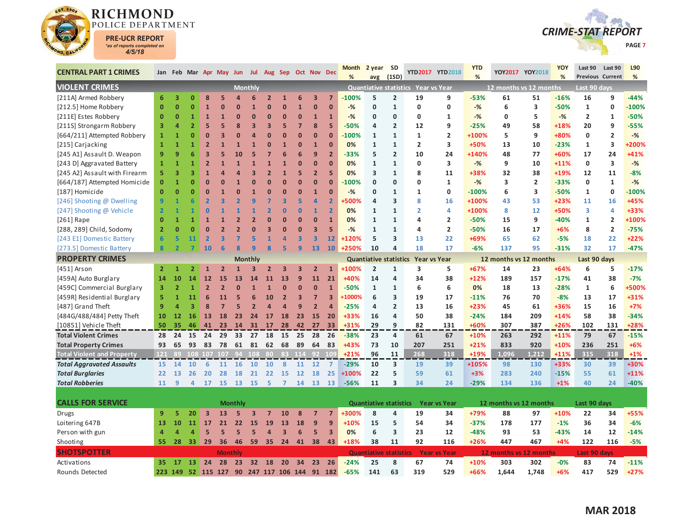



| <b>CENTRAL PART 1 CRIMES</b>      |                | Jan Feb Mar Apr May Jun Jul Aug Sep Oct Nov Dec |                         |                |                         |                          |                         |                         |                         |                         |                         |                         | <b>Month</b> | 2 year                        | <b>SD</b>      |                                     | YTD2017 YTD2018     | <b>YTD</b> |                        | YOY2017 YOY2018 | YOY    | Last 90             | Last 90                 | L90     |
|-----------------------------------|----------------|-------------------------------------------------|-------------------------|----------------|-------------------------|--------------------------|-------------------------|-------------------------|-------------------------|-------------------------|-------------------------|-------------------------|--------------|-------------------------------|----------------|-------------------------------------|---------------------|------------|------------------------|-----------------|--------|---------------------|-------------------------|---------|
| <b>VIOLENT CRIMES</b>             |                |                                                 |                         |                |                         |                          | <b>Monthly</b>          |                         |                         |                         |                         |                         | %            | avg                           | (1SD)          | Quantiative statistics Year vs Year |                     | %          | 12 months vs 12 months |                 | %      | Last 90 days        | <b>Previous Current</b> | %       |
| [211A] Armed Robbery              | 6              | 3                                               | $\mathbf{0}$            | 8              | 5                       | $\Delta$                 | 6                       | $\overline{2}$          | $\mathbf{1}$            | 6                       | $\overline{\mathbf{3}}$ | $\overline{7}$          | $-100%$      | 5                             | $\overline{2}$ | 19                                  | 9                   | $-53%$     | 61                     | 51              | $-16%$ | 16                  | 9                       | $-44%$  |
| [212.5] Home Robbery              | $\bf{0}$       | $\overline{0}$                                  | 0                       | $\mathbf{1}$   | ŋ                       | $\Omega$                 | $\mathbf{1}$            | $\overline{0}$          | $\Omega$                | $\mathbf{1}$            | $\overline{0}$          | $\mathbf{0}$            | $-%$         | $\mathbf{0}$                  | $\mathbf{1}$   | 0                                   | 0                   | $-$ %      | 6                      | 3               | $-50%$ | $\mathbf{1}$        | 0                       | $-100%$ |
| [211E] Estes Robbery              | $\mathbf{0}$   | $\overline{0}$                                  | 1                       | 1              | $\mathbf{1}$            | $\Omega$                 | $\overline{0}$          | $\overline{0}$          | $\Omega$                | $\mathbf{0}$            | $\mathbf{1}$            | $\overline{1}$          | $-$ %        | $\mathbf{0}$                  | $\mathbf{0}$   | 0                                   | 1                   | $-$ %      | $\mathbf 0$            | 5               | $-$ %  | $\overline{2}$      | $\mathbf{1}$            | $-50%$  |
| [211S] Strongarm Robbery          | 3              | Δ                                               | $\overline{2}$          | 5              |                         | 8                        | $\overline{\mathbf{3}}$ | $\overline{\mathbf{3}}$ | 5                       | $\overline{7}$          | $\overline{\mathbf{8}}$ | 5                       | $-50%$       | 4                             | $\overline{2}$ | 12                                  | 9                   | $-25%$     | 49                     | 58              | +18%   | 20                  | 9                       | $-55%$  |
| [664/211] Attempted Robbery       | $\mathbf{1}$   | 1                                               | $\overline{0}$          | O              | B                       | n                        | $\overline{a}$          | $\overline{0}$          | $\Omega$                | $\mathbf{0}$            | $\overline{0}$          | $\overline{0}$          | $-100%$      | $\mathbf{1}$                  | $\mathbf{1}$   | $\mathbf{1}$                        | $\overline{2}$      | +100%      | 5                      | 9               | +80%   | 0                   | $\overline{\mathbf{2}}$ | $-%$    |
| [215] Carjacking                  | $\mathbf{1}$   | $\mathbf{1}$                                    |                         | $\overline{2}$ |                         | $\mathbf{1}$             | $\mathbf{1}$            | $\overline{0}$          | $\mathbf{1}$            | $\mathbf{0}$            | $\mathbf{1}$            | $\Omega$                | 0%           | $\mathbf{1}$                  | $\mathbf{1}$   | $\overline{2}$                      | 3                   | +50%       | 13                     | 10              | $-23%$ | $\mathbf{1}$        | $\overline{\mathbf{3}}$ | +200%   |
| [245 A1] Assault D. Weapon        | 9              | 9                                               | 6                       | 3              |                         | 10                       | 5                       | 7                       | 6                       | 6                       | 9                       | $\overline{2}$          | -33%         | 5                             | $\overline{2}$ | 10                                  | 24                  | +140%      | 48                     | 77              | +60%   | 17                  | 24                      | +41%    |
| [243 D] Aggravated Battery        | 1              | $\overline{1}$                                  | 1                       | $\overline{2}$ |                         | $\overline{1}$           | $\overline{1}$          | $\overline{1}$          | $\mathbf{1}$            | $\mathbf{0}$            | $\overline{0}$          | $\Omega$                | 0%           | $\mathbf{1}$                  | $\mathbf{1}$   | 0                                   | 3                   | $-$ %      | 9                      | 10              | $+11%$ | $\mathbf{0}$        | $\overline{\mathbf{3}}$ | $-$ %   |
| [245 A2] Assault with Firearm     | 5              | 3                                               | 3                       |                |                         |                          | $\overline{3}$          | $\overline{2}$          | $\mathbf{1}$            | 5                       | $\overline{2}$          | 5                       | 0%           | 3                             | $\mathbf{1}$   | 8                                   | 11                  | +38%       | 32                     | 38              | +19%   | 12                  | 11                      | $-8%$   |
| [664/187] Attempted Homicide      | $\mathbf{0}$   |                                                 | O                       | $\Omega$       | $\Omega$                | $\overline{1}$           | $\Omega$                | $\overline{0}$          | $\overline{0}$          | $\mathbf{0}$            | $\overline{0}$          | O                       | $-100%$      | $\mathbf{0}$                  | $\mathbf{0}$   | $\Omega$                            | $\mathbf{1}$        | $-$ %      | 3                      | $\overline{2}$  | $-33%$ | $\mathbf{0}$        | $\mathbf{1}$            | $-$ %   |
| [187] Homicide                    | $\mathbf{0}$   | $\overline{0}$                                  | $\overline{0}$          | $\Omega$       |                         | $\overline{0}$           | $\overline{1}$          | $\overline{0}$          | $\overline{0}$          | $\mathbf{0}$            | $\mathbf{1}$            | $\mathbf{0}$            | $-$ %        | 0                             | $\mathbf{1}$   | 1                                   | 0                   | $-100%$    | 6                      | 3               | $-50%$ | $\mathbf{1}$        | 0                       | $-100%$ |
| [246] Shooting @ Dwelling         | 9              |                                                 |                         |                |                         | $\overline{\mathbf{c}}$  | 9                       | 7                       | $\overline{\mathbf{3}}$ | 5                       | 4                       | $\overline{2}$          | <b>500%</b>  | 4                             | 3              | $\mathbf{8}$                        | 16                  | +100%      | 43                     | 53              | $+23%$ | 11                  | 16                      | +45%    |
| [247] Shooting @ Vehicle          | $\overline{2}$ |                                                 |                         | n              |                         |                          | 1                       | $\overline{2}$          | $\overline{0}$          | $\mathbf{0}$            | 1                       | $\overline{2}$          | 0%           | 1                             | $\mathbf{1}$   | $\overline{2}$                      | 4                   | +100%      | 8                      | 12              | +50%   | 3                   | 4                       | +33%    |
| [ $261$ ] Rape                    | $\mathbf{0}$   | 1                                               | 1                       |                |                         |                          | $\overline{2}$          | $\overline{0}$          | $\overline{0}$          | $\mathbf{0}$            | $\overline{0}$          | $\overline{1}$          | 0%           | $\mathbf{1}$                  | $\mathbf{1}$   | 4                                   | $\overline{2}$      | $-50%$     | 15                     | 9               | $-40%$ | $\mathbf{1}$        | $\overline{2}$          | +100%   |
| [288, 289] Child, Sodomy          | $\overline{2}$ | n                                               | O                       | $\Omega$       | $\overline{\mathbf{z}}$ | $\overline{\phantom{a}}$ | $\Omega$                | $\overline{\mathbf{3}}$ | $\Omega$                | $\mathbf{0}$            | 3                       | 5                       | $-$ %        | $\mathbf{1}$                  | $\mathbf{1}$   | 4                                   | $\overline{2}$      | $-50%$     | 16                     | 17              | $+6%$  | 8                   | $\overline{\mathbf{2}}$ | $-75%$  |
| [243 E1] Domestic Battery         | 6              | 5                                               | 11                      | $\overline{2}$ | $\overline{\mathbf{3}}$ | 7                        | 5                       | $\overline{1}$          | $\overline{a}$          | $\overline{\mathbf{3}}$ | $\overline{\mathbf{3}}$ | 12                      | +120%        | 5                             | 3              | 13                                  | 22                  | +69%       | 65                     | 62              | $-5%$  | 18                  | 22                      | $+22%$  |
| [273.5] Domestic Battery          | 8              | $\overline{ }$                                  |                         | 10             | 6                       | $\mathbf{R}$             | q                       | $\overline{\mathbf{8}}$ | 5                       | $\overline{9}$          | 13                      | 10 <sup>°</sup>         | +250%        | 10                            | 4              | 18                                  | 17                  | $-6%$      | 137                    | 95              | $-31%$ | 32                  | 17                      | $-47%$  |
| <b>PROPERTY CRIMES</b>            |                |                                                 |                         |                |                         |                          | <b>Monthly</b>          |                         |                         |                         |                         |                         |              | <b>Quantiative statistics</b> |                | <b>Year vs Year</b>                 |                     |            | 12 months vs 12 months |                 |        | Last 90 days        |                         |         |
| [451] Arson                       | $\overline{2}$ |                                                 |                         |                | $\overline{2}$          | $\mathbf{1}$             | З                       | $\overline{2}$          | $\overline{\mathbf{3}}$ | 3                       | $\overline{2}$          | $\mathbf{1}$            | +100%        | $\overline{2}$                | $\mathbf{1}$   | 3                                   | 5                   | +67%       | 14                     | 23              | $+64%$ | 6                   | 5                       | $-17%$  |
| [459A] Auto Burglary              | 14             | 10                                              | 14                      | 12             | 15                      | 13                       | 14                      | 11                      | 13                      | $\mathbf{9}$            | 11                      | 21                      | +40%         | 14                            | 4              | 34                                  | 38                  | $+12%$     | 189                    | 157             | $-17%$ | 41                  | 38                      | $-7%$   |
| [459C] Commercial Burglary        | 3              | $\overline{2}$                                  | $\mathbf{1}$            | $\overline{2}$ | $\overline{2}$          | $\overline{0}$           | $\mathbf{1}$            | $\mathbf{1}$            | $\bf{0}$                | $\mathbf{0}$            | $\mathbf{0}$            | $\mathbf{1}$            | $-50%$       | $\mathbf{1}$                  | $\mathbf{1}$   | 6                                   | 6                   | 0%         | 18                     | 13              | $-28%$ | $\mathbf{1}$        | 6                       | +500%   |
| [459R] Residential Burglary       | 5              | $\mathbf{1}$                                    | 11                      | 6              | 11                      | 5                        | 6                       | 10                      | $\overline{2}$          | $\overline{\mathbf{3}}$ | $\overline{7}$          | $\overline{3}$          | +1000%       | 6                             | 3              | 19                                  | 17                  | $-11%$     | 76                     | 70              | $-8%$  | 13                  | 17                      | +31%    |
| [487] Grand Theft                 | 9              | 4                                               | $\overline{\mathbf{3}}$ | $\mathbf{8}$   | $\overline{7}$          | 5                        | $\overline{2}$          | $\overline{a}$          | $\overline{a}$          | 9                       | $\overline{2}$          | $\sqrt{ }$              | $-25%$       | 4                             | $\overline{2}$ | 13                                  | 16                  | $+23%$     | 45                     | 61              | +36%   | 15                  | 16                      | $+7%$   |
| [484G/488/484] Petty Theft        | 10             | 12                                              | 16                      | 13             | 18                      | 23                       | 24                      | 17                      | 18                      | 23                      | 15                      | 20                      | +33%         | 16                            | 4              | 50                                  | 38                  | $-24%$     | 184                    | 209             | $+14%$ | 58                  | 38                      | $-34%$  |
| [10851] Vehicle Theft             | 50             | 35                                              | 46                      | 41             | 23                      |                          | 14 31 17                |                         | 28                      | 42                      | 27                      | 33                      | $+31%$       | 29                            | 9              | 82                                  | 131                 | +60%       | 307                    | 387             | $+26%$ | 102                 | 131                     | +28%    |
| <b>Total Violent Crimes</b>       | 28             | 24                                              | 15                      | 24             | 29                      | 33                       | 27                      | 18                      | 15                      | 25                      | 28                      | - 26                    | $-38%$       | 23                            | 4              | 61                                  | 67                  | $+10%$     | 263                    | 292             | $+11%$ | 79                  | 67                      | $-15%$  |
| <b>Total Property Crimes</b>      | 93             | 65                                              | 93                      | 83             | 78                      | 61                       | 81                      | 62                      | 68                      | 89                      | 64                      | 83                      | +43%         | 73                            | 10             | 207                                 | 251                 | $+21%$     | 833                    | 920             | $+10%$ | 236                 | 251                     | $+6%$   |
| <b>Total Violent and Property</b> | $121$          | 89                                              |                         |                |                         |                          | 108 107 107 94 108      | 80                      | 83                      | 114                     |                         | 92 109                  | $+21%$       | 96                            | 11             | 268                                 | 318                 | +19%       | 1.096                  | 1.212           | $+11%$ | 315                 | 318                     | $+1%$   |
| <b>Total Aggravated Assaults</b>  | 15             | 14                                              | 10                      | 6              | 11                      | <b>16</b>                | <b>10</b>               | 10                      | 8                       | 11                      | 12                      | $\mathbf{7}$            | $-29%$       | 10                            | 3              | 19                                  | 39                  | +105%      | 98                     | 130             | +33%   | 30                  | 39                      | +30%    |
| <b>Total Burglaries</b>           | 22             | 13                                              | 26                      | 20             | 28                      | 18                       | 21                      | 22                      | <b>15</b>               | 12                      | 18                      | 25                      | +100%        | 22                            | 5              | 59                                  | 61                  | $+3%$      | 283                    | 240             | $-15%$ | 55                  | 61                      | $+11%$  |
| <b>Total Robberies</b>            | 11             | 9                                               | $\overline{a}$          | 17             | 15                      | <b>13</b>                | -15                     | 5                       | 7                       | 14                      | 13                      | <b>13</b>               | $-56%$       | 11                            | 3              | 34                                  | 24                  | $-29%$     | 134                    | 136             | $+1%$  | 40                  | 24                      | $-40%$  |
|                                   |                |                                                 |                         |                |                         |                          |                         |                         |                         |                         |                         |                         |              |                               |                |                                     |                     |            |                        |                 |        |                     |                         |         |
| <b>CALLS FOR SERVICE</b>          |                |                                                 |                         |                |                         | <b>Monthly</b>           |                         |                         |                         |                         |                         |                         |              | <b>Quantiative statistics</b> |                |                                     | <b>Year vs Year</b> |            | 12 months vs 12 months |                 |        | Last 90 days        |                         |         |
| Drugs                             | 9              | ς                                               | 20                      | $\overline{3}$ | 13                      | 5                        | $\overline{\mathbf{3}}$ | $\overline{7}$          | 10                      | 8                       | $\overline{7}$          | $\overline{7}$          | +300%        | 8                             | 4              | 19                                  | 34                  | +79%       | 88                     | 97              | +10%   | 22                  | 34                      | +55%    |
| Loitering 647B                    | 13             | 10                                              | 11                      | 17             | 21                      | 22                       | <b>15</b>               | 19                      | 13                      | 18                      | 9                       | 9                       | +10%         | 15                            | 5              | 54                                  | 34                  | $-37%$     | 178                    | 177             | $-1%$  | 36                  | 34                      | $-6%$   |
| Person with gun                   | 4              | 4                                               | 4                       | 5              | 5                       | 5                        | 5                       | $\overline{a}$          | $\overline{3}$          | 6                       | 5 <sup>1</sup>          | $\overline{\mathbf{3}}$ | 0%           | 6                             | 3              | 23                                  | 12                  | $-48%$     | 93                     | 53              | $-43%$ | 14                  | 12                      | $-14%$  |
| Shooting                          | 55             | 28                                              | 33                      | 29             | 36                      | 46                       | 59                      | 35                      | 24                      | 41                      | 38                      | 43                      | +18%         | 38                            | 11             | 92                                  | 116                 | $+26%$     | 447                    | 467             | $+4%$  | 122                 | 116                     | $-5%$   |
| <b>SHOTSPOTTER</b>                |                |                                                 |                         |                | <b>Monthly</b>          |                          |                         |                         |                         |                         |                         |                         |              | <b>Quantiative statistics</b> |                |                                     | <b>Year vs Year</b> |            | 12 months vs 12 months |                 |        | <b>Last 90 days</b> |                         |         |
| Activations                       | 35             | 17                                              | 13                      | 24             | 28                      | 23                       |                         | 32 18                   | 20                      | 34                      | 23                      | 26                      | $-24%$       | 25                            | 8              | 67                                  | 74                  | $+10%$     | 303                    | 302             | $-0%$  | 83                  | 74                      | $-11%$  |
| <b>Rounds Detected</b>            | 223            | 149                                             |                         |                | 52 115 127              | 90                       |                         | 247 117 106 144 91      |                         |                         |                         | 182                     | $-65%$       | 141                           | 63             | 319                                 | 529                 | +66%       | 1.644                  | 1.748           | $+6%$  | 417                 | 529                     | $+27%$  |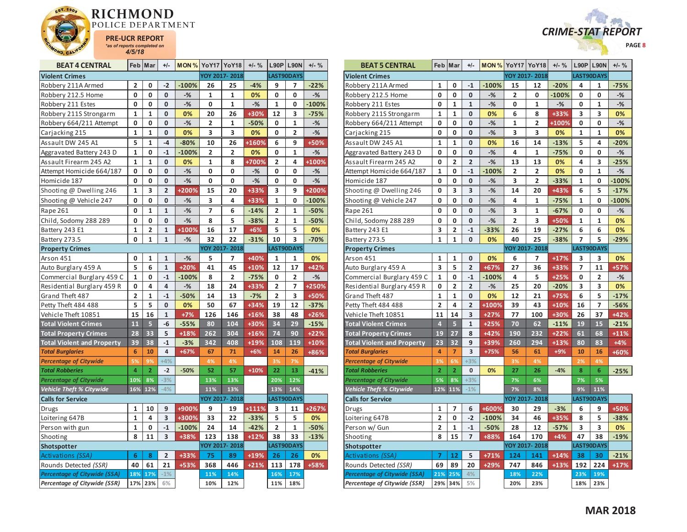



| <b>BEAT 4 CENTRAL</b>               |                | Feb Mar        | $+/-$          |         | <b>MON % YoY17 YoY18</b> |               | $+/-$ % |                         | $L90P$ L90N  | $+/-$ % |
|-------------------------------------|----------------|----------------|----------------|---------|--------------------------|---------------|---------|-------------------------|--------------|---------|
| <b>Violent Crimes</b>               |                |                |                |         |                          | YOY 2017-2018 |         |                         | LAST90DAYS   |         |
| Robbery 211A Armed                  | 2              | 0              | $-2$           | $-100%$ | 26                       | 25            | $-4%$   | 9                       | 7            | $-22%$  |
| Robbery 212.5 Home                  | 0              | 0              | 0              | $-%$    | 1                        | 1             | 0%      | 0                       | 0            | $-$ %   |
| Robbery 211 Estes                   | 0              | 0              | 0              | $-$ %   | 0                        | $\mathbf{1}$  | $-%$    | $\mathbf{1}$            | 0            | $-100%$ |
| Robbery 211S Strongarm              | 1              | $\mathbf{1}$   | 0              | 0%      | 20                       | 26            | +30%    | 12                      | 3            | $-75%$  |
| Robbery 664/211 Attempt             | 0              | 0              | 0              | $-$ %   | 2                        | 1             | $-50%$  | 0                       | 1            | $-%$    |
| Carjacking 215                      | 1              | $\mathbf{1}$   | 0              | 0%      | 3                        | 3             | 0%      | 0                       | 2            | $-%$    |
| Assault DW 245 A1                   | 5              | 1              | $-4$           | $-80%$  | 10                       | 26            | +160%   | 6                       | 9            | +50%    |
| Aggravated Battery 243 D            | 1              | 0              | $-1$           | $-100%$ | $\overline{\mathbf{c}}$  | 2             | 0%      | 0                       | $\mathbf{1}$ | $-%$    |
| Assault Firearm 245 A2              | $\mathbf{1}$   | $\mathbf{1}$   | 0              | 0%      | $\mathbf{1}$             | 8             | +700%   | $\overline{2}$          | 4            | +100%   |
| Attempt Homicide 664/187            | 0              | 0              | 0              | $-%$    | 0                        | 0             | -%      | 0                       | 0            | -%      |
| Homicide 187                        | 0              | 0              | 0              | $-$ %   | 0                        | 0             | $-%$    | 0                       | 0            | $-$ %   |
| Shooting @ Dwelling 246             | 1              | 3              | $\overline{2}$ | +200%   | 15                       | 20            | +33%    | 3                       | 9            | +200%   |
| Shooting @ Vehicle 247              | 0              | 0              | 0              | $-%$    | 3                        | 4             | +33%    | 1                       | 0            | $-100%$ |
| Rape 261                            | 0              | 1              | 1              | $-%$    | 7                        | 6             | $-14%$  | 2                       | 1            | $-50%$  |
| Child, Sodomy 288 289               | 0              | 0              | 0              | $-$ %   | 8                        | 5             | $-38%$  | $\overline{\mathbf{c}}$ | $\mathbf{1}$ | $-50%$  |
| Battery 243 E1                      | $\mathbf{1}$   | 2              | $\mathbf{1}$   | +100%   | 16                       | 17            | $+6%$   | 5                       | 5            | 0%      |
| Battery 273.5                       | 0              | $\mathbf{1}$   | $\mathbf{1}$   | $-$ %   | 32                       | 22            | $-31%$  | 10                      | 3            | $-70%$  |
| <b>Property Crimes</b>              |                |                |                |         |                          | YOY 2017-2018 |         |                         | LAST90DAYS   |         |
| Arson 451                           | 0              | 1              | 1              | $-%$    | 5                        | 7             | +40%    | 1                       | 1            | 0%      |
| Auto Burglary 459 A                 | 5              | 6              | $\mathbf{1}$   | $+20%$  | 41                       | 45            | $+10%$  | 12                      | 17           | +42%    |
| Commercial Burglary 459 C           | $\mathbf 1$    | 0              | $-1$           | $-100%$ | 8                        | 2             | $-75%$  | 0                       | 2            | $-%$    |
| Residential Burglary 459 R          | 0              | 4              | 4              | $-%$    | 18                       | 24            | +33%    | 2                       | 7            | +250%   |
| Grand Theft 487                     | $\overline{2}$ | $\mathbf{1}$   | $-1$           | $-50%$  | 14                       | 13            | $-7%$   | $\overline{2}$          | 3            | +50%    |
| Petty Theft 484 488                 | 5              | 5              | 0              | 0%      | 50                       | 67            | +34%    | 19                      | 12           | $-37%$  |
| Vehicle Theft 10851                 | 15             | 16             | $\mathbf{1}$   | $+7%$   | 126                      | 146           | +16%    | 38                      | 48           | $+26%$  |
| <b>Total Violent Crimes</b>         | 11             | 5              | -6             | $-55%$  | 80                       | 104           | +30%    | 34                      | 29           | $-15%$  |
| <b>Total Property Crimes</b>        | 28             | 33             | 5              | $+18%$  | 262                      | 304           | $+16%$  | 74                      | 90           | $+22%$  |
| <b>Total Violent and Property</b>   | 39             | 38             | $-1$           | $-3%$   | 342                      | 408           | +19%    | 108                     | 119          | $+10%$  |
| <b>Total Burglaries</b>             | 6              | 10             | 4              | $+67%$  | 67                       | 71            | $+6%$   | 14                      | 26           | $+86%$  |
| <b>Percentage of Citywide</b>       | 5%             | 9%             | $+4%$          |         | 4%                       | 4%            |         | 3%                      | 7%           |         |
| <b>Total Robberies</b>              | $\overline{4}$ | $\overline{2}$ | $-2$           | $-50%$  | 52                       | 57            | $+10%$  | 22                      | 13           | $-41%$  |
| <b>Percentage of Citywide</b>       | 10%            | 8%             | $-3%$          |         | 13%                      | 13%           |         | 20%                     | 12%          |         |
| Vehicle Theft % Citywide            | 16%            | 12%            | $-4%$          |         | 11%                      | 13%           |         | 13%                     | 14%          |         |
| <b>Calls for Service</b>            |                |                |                |         |                          | YOY 2017-2018 |         |                         | LAST90DAYS   |         |
| Drugs                               | 1              | 10             | 9              | +900%   | 9                        | 19            | +111%   | 3                       | 11           | +267%   |
| Loitering 647B                      | $\mathbf{1}$   | 4              | 3              | +300%   | 33                       | 22            | $-33%$  | 5                       | 5            | 0%      |
| Person with gun                     | 1              | 0              | $-1$           | $-100%$ | 24                       | 14            | $-42%$  | 2                       | 1            | -50%    |
| Shooting                            | 8              | 11             | 3              | +38%    | 123                      | 138           | $+12%$  | 38                      | 33           | $-13%$  |
| Shotspotter                         |                |                |                |         |                          | YOY 2017-2018 |         |                         | LAST90DAYS   |         |
| Activations (SSA)                   | 6              | 8              | $\overline{2}$ | +33%    | 75                       | 89            | +19%    | 26                      | 26           | 0%      |
| Rounds Detected (SSR)               | 40             | 61             | 21             | $+53%$  | 368                      | 446           | $+21%$  | 113                     | 178          | +58%    |
| <b>Percentage of Citywide (SSA)</b> | 18%            | 17%            | $-1%$          |         | 11%                      | 14%           |         | 16%                     | 17%          |         |
| Percentage of Citywide (SSR)        | 17%            | 23%            | 6%             |         | 10%                      | 12%           |         | 11%                     | 18%          |         |

| <b>BEAT 5 CENTRAL</b>               |                | Feb Mar        | $+/-$          |         | <b>MON % YoY17 YoY18</b> |                         | $+/-$ % |              | <b>L90P L90N</b>  | $+/-$ % |
|-------------------------------------|----------------|----------------|----------------|---------|--------------------------|-------------------------|---------|--------------|-------------------|---------|
| <b>Violent Crimes</b>               |                |                |                |         |                          | YOY 2017-2018           |         |              | <b>LAST90DAYS</b> |         |
| Robbery 211A Armed                  | 1              | 0              | -1             | $-100%$ | 15                       | 12                      | $-20%$  | 4            | 1                 | $-75%$  |
| Robbery 212.5 Home                  | 0              | 0              | 0              | $-%$    | 2                        | 0                       | $-100%$ | 0            | 0                 | $-%$    |
| Robbery 211 Estes                   | 0              | $\mathbf{1}$   | $\mathbf{1}$   | $-$ %   | 0                        | $\mathbf{1}$            | $-%$    | 0            | $\mathbf{1}$      | $-$ %   |
| Robbery 211S Strongarm              | 1              | 1              | 0              | 0%      | 6                        | 8                       | +33%    | 3            | 3                 | 0%      |
| Robbery 664/211 Attempt             | 0              | 0              | 0              | $-%$    | $\mathbf{1}$             | $\overline{2}$          | +100%   | 0            | 0                 | $-$ %   |
| Carjacking 215                      | 0              | 0              | 0              | $-%$    | 3                        | 3                       | 0%      | 1            | 1                 | 0%      |
| Assault DW 245 A1                   | 1              | 1              | 0              | 0%      | 16                       | 14                      | $-13%$  | 5            | 4                 | $-20%$  |
| Aggravated Battery 243 D            | 0              | 0              | 0              | $-%$    | 4                        | 1                       | $-75%$  | 0            | 0                 | $-%$    |
| Assault Firearm 245 A2              | 0              | $\overline{2}$ | $\overline{2}$ | $-$ %   | 13                       | 13                      | 0%      | 4            | 3                 | $-25%$  |
| Attempt Homicide 664/187            | $\mathbf{1}$   | 0              | $-1$           | $-100%$ | 2                        | $\overline{\mathbf{2}}$ | 0%      | 0            | 1                 | $-%$    |
| Homicide 187                        | 0              | 0              | 0              | $-$ %   | 3                        | $\overline{2}$          | $-33%$  | $\mathbf{1}$ | 0                 | $-100%$ |
| Shooting @ Dwelling 246             | 0              | 3              | 3              | $-%$    | 14                       | 20                      | +43%    | 6            | 5                 | $-17%$  |
| Shooting @ Vehicle 247              | 0              | O              | O              | $-%$    | 4                        | $\mathbf{1}$            | $-75%$  | $\mathbf{1}$ | 0                 | $-100%$ |
| Rape 261                            | 0              | 0              | 0              | $-%$    | 3                        | 1                       | $-67%$  | 0            | 0                 | $-%$    |
| Child, Sodomy 288 289               | 0              | 0              | O              | $-$ %   | 2                        | 3                       | +50%    | 1            | 1                 | 0%      |
| Battery 243 E1                      | 3              | 2              | $-1$           | $-33%$  | 26                       | 19                      | $-27%$  | 6            | 6                 | 0%      |
| Battery 273.5                       | 1              | $\mathbf{1}$   | 0              | 0%      | 40                       | 25                      | $-38%$  | 7            | 5                 | $-29%$  |
| <b>Property Crimes</b>              |                |                |                |         |                          | YOY 2017-2018           |         |              | <b>LAST90DAYS</b> |         |
| Arson 451                           | 1              | 1              | 0              | 0%      | 6                        | 7                       | $+17%$  | 3            | 3                 | 0%      |
| Auto Burglary 459 A                 | 3              | 5              | $\overline{2}$ | +67%    | 27                       | 36                      | +33%    | 7            | 11                | +57%    |
| Commercial Burglary 459 C           | 1              | 0              | $-1$           | $-100%$ | 4                        | 5                       | $+25%$  | 0            | 2                 | $-%$    |
| Residential Burglary 459 R          | 0              | $\overline{2}$ | $\overline{2}$ | $-%$    | 25                       | 20                      | $-20%$  | 3            | 3                 | 0%      |
| Grand Theft 487                     | $\mathbf{1}$   | $\mathbf{1}$   | 0              | 0%      | 12                       | 21                      | $+75%$  | 6            | 5                 | $-17%$  |
| Petty Theft 484 488                 | $\overline{2}$ | 4              | $\overline{2}$ | +100%   | 39                       | 43                      | $+10%$  | 16           | 7                 | $-56%$  |
| Vehicle Theft 10851                 | 11             | 14             | 3              | $+27%$  | 77                       | 100                     | +30%    | 26           | 37                | $+42%$  |
| <b>Total Violent Crimes</b>         | $\overline{4}$ | 5              | $\mathbf{1}$   | $+25%$  | 70                       | 62                      | $-11%$  | 19           | 15                | $-21%$  |
| <b>Total Property Crimes</b>        | 19             | 27             | 8              | $+42%$  | 190                      | 232                     | $+22%$  | 61           | 68                | $+11%$  |
| <b>Total Violent and Property</b>   | 23             | 32             | 9              | +39%    | 260                      | 294                     | $+13%$  | 80           | 83                | $+4%$   |
| <b>Total Burglaries</b>             | 4              | 7              | 3              | +75%    | 56                       | 61                      | $+9%$   | 10           | 16                | +60%    |
| <b>Percentage of Citywide</b>       | 3%             | 6%             | $+3%$          |         | 3%                       | 4%                      |         | 2%           | 4%                |         |
| <b>Total Robberies</b>              | $\overline{2}$ | $\overline{2}$ | 0              | 0%      | 27                       | 26                      | $-4%$   | 8            | 6                 | $-25%$  |
| <b>Percentage of Citywide</b>       | 5%             | 8%             | $+3%$          |         | 7%                       | 6%                      |         | 7%           | 5%                |         |
| Vehicle Theft % Citywide            | 12%            | 11%            | $-1%$          |         | 7%                       | 8%                      |         | 9%           | 11%               |         |
| <b>Calls for Service</b>            |                |                |                |         |                          | YOY 2017-2018           |         |              | LAST90DAYS        |         |
| Drugs                               | $\mathbf{1}$   | 7              | 6              | +600%   | 30                       | 29                      | $-3%$   | 6            | 9                 | +50%    |
| Loitering 647B                      | $\overline{2}$ | O              | $-2$           | $-100%$ | 34                       | 46                      | +35%    | 8            | 5                 | $-38%$  |
| Person w/ Gun                       | $\overline{2}$ | 1              | $-1$           | $-50%$  | 28                       | 12                      | $-57%$  | 3            | 3                 | 0%      |
| Shooting                            | 8              | 15             | 7              | +88%    | 164                      | 170                     | $+4%$   | 47           | 38                | $-19%$  |
| Shotspotter                         |                |                |                |         |                          | YOY 2017-2018           |         |              | LAST90DAYS        |         |
| Activations (SSA)                   | $\overline{7}$ | 12             | 5              | $+71%$  | 124                      | 141                     | $+14%$  | 38           | 30                | $-21%$  |
| Rounds Detected (SSR)               | 69             | 89             | 20             | +29%    | 747                      | 846                     | $+13%$  | 192          | 224               | $+17%$  |
| <b>Percentage of Citywide (SSA)</b> | 21%            | 25%            | 4%             |         | 18%                      | 22%                     |         | 23%          | 19%               |         |
| Percentage of Citywide (SSR)        |                | 29% 34%        | 5%             |         | 20%                      | 23%                     |         | 18%          | 23%               |         |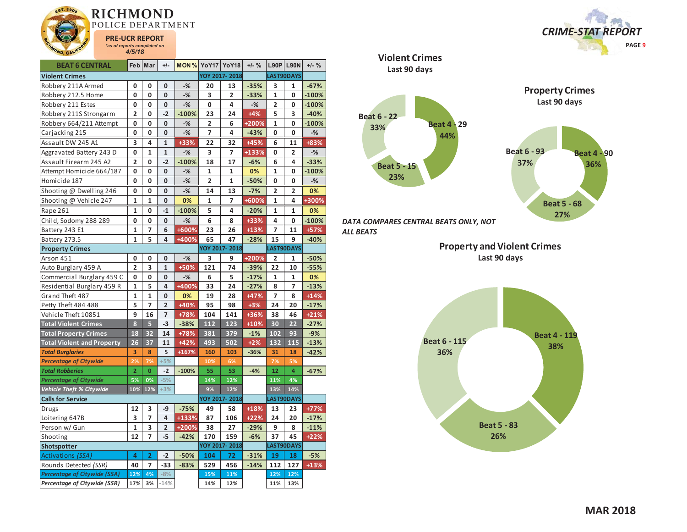

| <b>BEAT 6 CENTRAL</b>             |                         | Feb Mar        | $+/-$          | MON%    | <b>YoY17 YoY18</b>      |               | $+/-$ % |                | <b>L90P L90N</b> | $+/-$ % |
|-----------------------------------|-------------------------|----------------|----------------|---------|-------------------------|---------------|---------|----------------|------------------|---------|
| <b>Violent Crimes</b>             |                         |                |                |         |                         | YOY 2017-2018 |         |                | LAST90DAYS       |         |
| Robbery 211A Armed                | 0                       | 0              | 0              | $-$ %   | 20                      | 13            | $-35%$  | 3              | $\mathbf{1}$     | $-67%$  |
| Robbery 212.5 Home                | 0                       | 0              | 0              | $-$ %   | 3                       | 2             | $-33%$  | 1              | 0                | $-100%$ |
| Robbery 211 Estes                 | 0                       | 0              | 0              | $-%$    | 0                       | 4             | $-%$    | $\overline{2}$ | 0                | $-100%$ |
| Robbery 211S Strongarm            | 2                       | 0              | $-2$           | $-100%$ | 23                      | 24            | $+4%$   | 5              | 3                | $-40%$  |
| Robbery 664/211 Attempt           | 0                       | 0              | 0              | $-%$    | $\overline{2}$          | 6             | +200%   | $\mathbf{1}$   | 0                | $-100%$ |
| Carjacking 215                    | 0                       | 0              | 0              | $-$ %   | 7                       | 4             | $-43%$  | 0              | 0                | $-$ %   |
| Assault DW 245 A1                 | 3                       | 4              | $\mathbf{1}$   | +33%    | 22                      | 32            | +45%    | 6              | 11               | +83%    |
| Aggravated Battery 243 D          | 0                       | $\mathbf{1}$   | $\mathbf{1}$   | $-%$    | 3                       | 7             | +133%   | 0              | 2                | $-$ %   |
| Assault Firearm 245 A2            | $\overline{2}$          | 0              | $-2$           | $-100%$ | 18                      | 17            | $-6%$   | 6              | 4                | $-33%$  |
| Attempt Homicide 664/187          | 0                       | 0              | 0              | $-$ %   | $\mathbf{1}$            | 1             | 0%      | $\mathbf{1}$   | 0                | $-100%$ |
| Homicide 187                      | 0                       | 0              | 0              | $-$ %   | $\overline{\mathbf{c}}$ | 1             | $-50%$  | 0              | 0                | $-%$    |
| Shooting @ Dwelling 246           | 0                       | 0              | 0              | $-%$    | 14                      | 13            | $-7%$   | 2              | 2                | 0%      |
| Shooting @ Vehicle 247            | $\mathbf{1}$            | $\mathbf{1}$   | 0              | 0%      | $\mathbf{1}$            | 7             | +600%   | $\mathbf{1}$   | 4                | +300%   |
| Rape 261                          | $\mathbf{1}$            | 0              | $-1$           | $-100%$ | 5                       | 4             | $-20%$  | $\mathbf{1}$   | $\mathbf{1}$     | 0%      |
| Child, Sodomy 288 289             | 0                       | 0              | 0              | $-$ %   | 6                       | 8             | +33%    | 4              | 0                | $-100%$ |
| Battery 243 E1                    | $\overline{1}$          | 7              | 6              | +600%   | 23                      | 26            | $+13%$  | 7              | 11               | $+57%$  |
| Battery 273.5                     | $\mathbf 1$             | 5              | 4              | +400%   | 65                      | 47            | $-28%$  | 15             | 9                | $-40%$  |
| <b>Property Crimes</b>            |                         |                |                |         |                         | YOY 2017-2018 |         |                | LAST90DAYS       |         |
| Arson 451                         | 0                       | 0              | 0              | $-$ %   | 3                       | 9             | +200%   | $\overline{2}$ | 1                | $-50%$  |
| Auto Burglary 459 A               | $\overline{\mathbf{c}}$ | 3              | $\mathbf{1}$   | +50%    | 121                     | 74            | $-39%$  | 22             | 10               | $-55%$  |
| Commercial Burglary 459 C         | 0                       | 0              | 0              | $-$ %   | 6                       | 5             | $-17%$  | $\mathbf{1}$   | $\mathbf{1}$     | 0%      |
| Residential Burglary 459 R        | 1                       | 5              | 4              | +400%   | 33                      | 24            | $-27%$  | 8              | 7                | $-13%$  |
| Grand Theft 487                   | $\mathbf{1}$            | $\mathbf{1}$   | 0              | 0%      | 19                      | 28            | $+47%$  | 7              | 8                | $+14%$  |
| Petty Theft 484 488               | 5                       | $\overline{7}$ | $\overline{2}$ | +40%    | 95                      | 98            | $+3%$   | 24             | 20               | $-17%$  |
| Vehicle Theft 10851               | 9                       | 16             | 7              | +78%    | 104                     | 141           | +36%    | 38             | 46               | $+21%$  |
| <b>Total Violent Crimes</b>       | 8                       | 5              | $-3$           | $-38%$  | 112                     | 123           | $+10%$  | 30             | 22               | $-27%$  |
| <b>Total Property Crimes</b>      | 18                      | 32             | 14             | +78%    | 381                     | 379           | $-1%$   | 102            | 93               | $-9%$   |
| <b>Total Violent and Property</b> | 26                      | 37             | 11             | $+42%$  | 493                     | 502           | $+2%$   | 132            | 115              | $-13%$  |
| <b>Total Burglaries</b>           | 3                       | 8              | 5              | $+167%$ | 160                     | 103           | $-36%$  | 31             | 18               | $-42%$  |
| <b>Percentage of Citywide</b>     | 2%                      | 7%             | $+5%$          |         | 10%                     | 6%            |         | 7%             | 5%               |         |
| <b>Total Robberies</b>            | $\overline{2}$          | $\mathbf{0}$   | $-2$           | $-100%$ | 55                      | 53            | $-4%$   | 12             | 4                | $-67%$  |
| <b>Percentage of Citywide</b>     | 5%                      | 0%             | $-5%$          |         | 14%                     | 12%           |         | 11%            | 4%               |         |
| Vehicle Theft % Citywide          | 10%                     | 12%            | $+3%$          |         | 9%                      | 12%           |         | 13%            | 14%              |         |
| <b>Calls for Service</b>          |                         |                |                |         |                         | YOY 2017-2018 |         |                | LAST90DAYS       |         |
| <b>Drugs</b>                      | 12                      | 3              | -9             | $-75%$  | 49                      | 58            | $+18%$  | 13             | 23               | $+77%$  |
| Loitering 647B                    | 3                       | 7              | 4              | +133%   | 87                      | 106           | $+22%$  | 24             | 20               | $-17%$  |
| Person w/ Gun                     | 1                       | 3              | 2              | +200%   | 38                      | 27            | $-29%$  | 9              | 8                | $-11%$  |
| Shooting                          | 12                      | $\overline{z}$ | -5             | $-42%$  | 170                     | 159           | $-6%$   | 37             | 45               | $+22%$  |
| Shotspotter                       |                         |                |                |         |                         | YOY 2017-2018 |         |                | LAST90DAYS       |         |
| Activations (SSA)                 | 4                       | $\overline{2}$ | $-2$           | $-50%$  | 104                     | 72            | $-31%$  | 19             | 18               | $-5%$   |
| Rounds Detected (SSR)             | 40                      | $\overline{7}$ | $-33$          | $-83%$  | 529                     | 456           | $-14%$  | 112            | 127              | $+13%$  |
| Percentage of Citywide (SSA)      | 12%                     | 4%             | $-8%$          |         | 15%                     | 11%           |         | 12%            | 12%              |         |
| Percentage of Citywide (SSR)      | 17%                     | 3%             | $-14%$         |         | 14%                     | 12%           |         | 11%            | 13%              |         |

 *CRIME-STAT REPORT* **PAGE 9**





*DATA COMPARES CENTRAL BEATS ONLY, NOT ALL BEATS* 

> **Property and Violent Crimes Last 90 days**

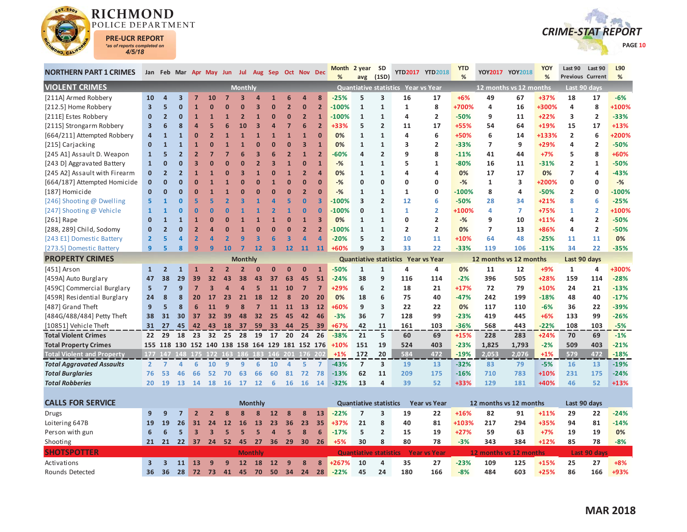

Activations

Rounds Detected

**3 3 11 13 9 9 12 18 12 9 8 8 +267%**



| <b>NORTHERN PART 1 CRIMES</b>        |                         |                |                         |                |                         | Jan Feb Mar Apr May Jun Jul Aug Sep Oct Nov Dec |                |                |                         |                |                         |                               | Month<br>% | 2 year SD<br>avg              | (1SD)                   |                                     | YTD2017 YTD2018        | <b>YTD</b><br>% |                        | YOY2017 YOY2018 | YOY<br>%     | Last 90<br><b>Previous Current</b> | Last 90                 | L90<br>% |
|--------------------------------------|-------------------------|----------------|-------------------------|----------------|-------------------------|-------------------------------------------------|----------------|----------------|-------------------------|----------------|-------------------------|-------------------------------|------------|-------------------------------|-------------------------|-------------------------------------|------------------------|-----------------|------------------------|-----------------|--------------|------------------------------------|-------------------------|----------|
| <b>VIOLENT CRIMES</b>                |                         |                |                         |                |                         |                                                 | Monthly        |                |                         |                |                         |                               |            |                               |                         | Quantiative statistics Year vs Year |                        |                 | 12 months vs 12 months |                 |              |                                    | Last 90 days            |          |
| [211A] Armed Robbery                 | 10                      | 4              | $\overline{\mathbf{3}}$ | $\overline{7}$ | <b>10</b>               |                                                 |                |                |                         | 6              | $\boldsymbol{a}$        | 8                             | $-25%$     | 5                             | 3                       | 16                                  | 17                     | $+6%$           | 49                     | 67              | +37%         | 18                                 | 17                      | $-6%$    |
| [212.5] Home Robbery                 | $\overline{\mathbf{3}}$ | 5              | $\mathbf{0}$            |                |                         |                                                 |                | B              | O                       | $\overline{2}$ | $\mathbf{0}$            | $\overline{2}$                | $-100%$    | $\mathbf{1}$                  | $\mathbf{1}$            | 1                                   | 8                      | +700%           | 4                      | 16              | +300%        | 4                                  | 8                       | +100%    |
| [211E] Estes Robbery                 | $\mathbf{0}$            | $\overline{2}$ | $\mathbf{0}$            | $\mathbf{1}$   |                         |                                                 | 2              | $\overline{1}$ | $\Omega$                | $\Omega$       | $\overline{2}$          | $\mathbf{1}$                  | $-100%$    | $\mathbf{1}$                  | $\mathbf{1}$            | 4                                   | $\overline{2}$         | $-50%$          | 9                      | 11              | $+22%$       | 3                                  | $\overline{2}$          | $-33%$   |
| [211S] Strongarm Robbery             | $\overline{\mathbf{3}}$ | 6              | 8                       | Δ              |                         | 6                                               | 10             | 3              | $\overline{a}$          | 7              | 6                       | $\overline{2}$                | +33%       | 5                             | $\overline{2}$          | 11                                  | 17                     | +55%            | 54                     | 64              | +19%         | 15                                 | 17                      | $+13%$   |
| [664/211] Attempted Robbery          | $\overline{a}$          | $\mathbf{1}$   | $\mathbf{1}$            | $\Omega$       |                         |                                                 | $\overline{1}$ | $\overline{1}$ | $\overline{1}$          | $\overline{1}$ | $\mathbf{1}$            | $\Omega$                      | 0%         | $\mathbf{1}$                  | $\mathbf{1}$            | 4                                   | 6                      | +50%            | 6                      | 14              | +133%        | $\overline{2}$                     | 6                       | +200%    |
| [215] Carjacking                     | $\mathbf{0}$            | $\mathbf{1}$   | 1                       |                |                         |                                                 |                |                | O                       | $\overline{0}$ | $\overline{\mathbf{3}}$ | 1                             | 0%         | $\mathbf{1}$                  | $\mathbf{1}$            | 3                                   | 2                      | $-33%$          | $\overline{ }$         | 9               | +29%         | 4                                  | $\overline{2}$          | $-50%$   |
| [245 A1] Assault D. Weapon           | $\mathbf{1}$            | 5              | $\overline{2}$          | $\overline{2}$ |                         |                                                 |                | B              |                         | $\overline{2}$ | $\mathbf{1}$            | $\overline{2}$                | $-60%$     | 4                             | $\overline{2}$          | 9                                   | 8                      | $-11%$          | 41                     | 44              | $+7%$        | 5                                  | 8                       | +60%     |
| [243 D] Aggravated Battery           | $\mathbf{1}$            | $\bf{0}$       | $\Omega$                |                |                         |                                                 |                | 2              | В                       | $\overline{1}$ | $\overline{0}$          | $\mathbf{1}$                  | $-$ %      | $\mathbf{1}$                  | $\mathbf{1}$            | 5                                   | 1                      | $-80%$          | 16                     | 11              | $-31%$       | $\overline{2}$                     | 1                       | -50%     |
| [245 A2] Assault with Firearm        | $\mathbf{0}$            | $\overline{2}$ | $\overline{2}$          | $\mathbf{1}$   |                         | n                                               | В              | $\overline{1}$ | $\Omega$                | $\overline{1}$ | $\overline{2}$          | $\overline{a}$                | 0%         | $\mathbf{1}$                  | $\mathbf{1}$            | 4                                   | 4                      | 0%              | 17                     | 17              | 0%           | $\overline{7}$                     | 4                       | $-43%$   |
| [664/187] Attempted Homicide         | $\mathbf 0$             | ŋ              | $\Omega$                |                |                         |                                                 |                | $\overline{0}$ |                         | $\overline{0}$ | $\overline{0}$          | $\Omega$                      | $-%$       | 0                             | 0                       | 0                                   | 0                      | $-$ %           | 1                      | 3               | +200%        | $\mathbf 0$                        | 0                       | $-%$     |
| [187] Homicide                       | $\mathbf{0}$            | ŋ              | $\Omega$                |                |                         |                                                 |                | U              | O                       | $\Omega$       | $\overline{2}$          | $\Omega$                      | $-$ %      | $\mathbf{1}$                  | $\mathbf{1}$            | $\mathbf{1}$                        | 0                      | $-100%$         | 8                      | 4               | $-50%$       | $\overline{2}$                     | $\mathbf 0$             | $-100%$  |
| [246] Shooting @ Dwelling            | 5.                      |                | $\Omega$                | 5              |                         |                                                 |                |                |                         | 5              | $\mathbf{0}$            | $\overline{\mathbf{3}}$       | $-100%$    | 3                             | $\overline{2}$          | 12                                  | 6                      | $-50%$          | 28                     | 34              | $+21%$       | 8                                  | 6                       | $-25%$   |
| [247] Shooting @ Vehicle             | $\mathbf{1}$            | 1              | $\Omega$                | $\Omega$       |                         | n                                               |                |                |                         | $\overline{1}$ | $\mathbf{0}$            | n                             | $-100%$    | $\mathbf{0}$                  | $\mathbf{1}$            | $\mathbf{1}$                        | $\overline{2}$         | +100%           | 4                      | $\overline{7}$  | $+75%$       | 1                                  | $\overline{2}$          | +100%    |
| $[261]$ Rape                         | $\mathbf 0$             | $\mathbf{1}$   | $\mathbf{1}$            |                | $\mathbf 0$             | $\Omega$                                        |                |                | $\mathbf{1}$            | $\bf{0}$       | $\mathbf{1}$            | $\overline{\mathbf{3}}$       | 0%         | $\mathbf{1}$                  | $\mathbf{1}$            | 0                                   | $\overline{2}$         | $-%$            | 9                      | 10              | $+11%$       | 4                                  | $\overline{\mathbf{2}}$ | $-50%$   |
| [288, 289] Child, Sodomy             | $\mathbf{0}$            | $\overline{2}$ | $\mathbf 0$             |                |                         | 0                                               |                | U              | $\Omega$                | $\bf{0}$       | $\overline{2}$          | $\overline{2}$                | $-100%$    | $\mathbf{1}$                  | $\mathbf{1}$            | 2                                   | $\overline{2}$         | 0%              | $\overline{7}$         | 13              | +86%         | 4                                  | $\overline{2}$          | $-50%$   |
| [243 E1] Domestic Battery            | $\overline{2}$          | 5              | Δ                       | $\overline{2}$ |                         |                                                 | q              | 3              | 6                       | 3              | $\overline{a}$          | $\Delta$                      | $-20%$     | 5                             | $\overline{2}$          | 10                                  | 11                     | +10%            | 64                     | 48              | $-25%$       | 11                                 | 11                      | 0%       |
| [273.5] Domestic Battery             | 9                       | 5              | 8                       | 9              | q                       | 10                                              |                | 12             | $\overline{\mathbf{3}}$ | 12             | 11                      | 11                            | $+60%$     | 9                             | $\overline{\mathbf{3}}$ | 33                                  | 22                     | $-33%$          | 119                    | 106             | $-11%$       | 34                                 | 22                      | $-35%$   |
| <b>PROPERTY CRIMES</b>               |                         |                |                         |                |                         |                                                 | <b>Monthly</b> |                |                         |                |                         |                               |            |                               |                         | Quantiative statistics Year vs Year |                        |                 | 12 months vs 12 months |                 |              | Last 90 days                       |                         |          |
| [451] Arson                          | 1                       | $\overline{2}$ | 1                       |                |                         | $\overline{\phantom{a}}$                        |                |                | $\Omega$                | $\Omega$       | $\overline{0}$          | $\mathbf{1}$                  | $-50%$     | $\mathbf{1}$                  | $\mathbf{1}$            | 4                                   | 4                      | 0%              | 11                     | 12              | $+9%$        | $\mathbf{1}$                       | 4                       | +300%    |
| [459A] Auto Burglary                 | 47                      | 38             | 29                      | 39             | 32                      | 43                                              | 38             | 43             | 37                      | 63             | 45                      | 51                            | $-24%$     | 38                            | 9                       | 116                                 | 114                    | $-2%$           | 396                    | 505             | +28%         | 159                                | 114                     | $-28%$   |
| [459C] Commercial Burglary           | 5                       | $\overline{7}$ | 9                       | $\overline{7}$ | З                       | Δ                                               | Δ              | 5              | 11                      | 10             | $\overline{7}$          | $\overline{7}$                | $+29%$     | 6                             | $\overline{2}$          | 18                                  | 21                     | $+17%$          | 72                     | 79              | $+10%$       | 24                                 | 21                      | $-13%$   |
| [459R] Residential Burglary          | 24                      | 8              | 8                       | 20             | 17                      | 23                                              | 21             | 18             | 12                      | 8              | 20                      | 20                            | 0%         | 18                            | 6                       | 75                                  | 40                     | $-47%$          | 242                    | 199             | $-18%$       | 48                                 | 40                      | $-17%$   |
| [487] Grand Theft                    | 9                       | 5              | 8                       | 6              | 11                      | 9                                               | 8              | 7              | 11                      | <b>11</b>      | <b>13</b>               | 12                            | +60%       | 9                             | 3                       | 22                                  | 22                     | 0%              | 117                    | 110             | $-6%$        | 36                                 | 22                      | $-39%$   |
| [484G/488/484] Petty Theft           | 38                      | 31             | 30                      | 37             | 32                      | 39                                              | 48             | 32             | 25                      | 45             | 42                      | 46                            | $-3%$      | 36                            | $\overline{7}$          | 128                                 | 99                     | $-23%$          | 419                    | 445             | $+6%$        | 133                                | 99                      | $-26%$   |
| [10851] Vehicle Theft                | 31                      | 27             | 45                      | 42             | 43                      | <b>18</b>                                       | - 37           | 59             | 33                      | 44             | 25                      | 39                            | $+67%$     | 42                            | 11                      | 161                                 | 103                    | $-36%$          | 568                    | 443             | $-22%$       | 108                                | 103                     | $-5%$    |
| <b>Total Violent Crimes</b>          | 22                      | 29             | 18                      | 23             | 32 <sub>2</sub>         | 25                                              | 28             | 19             | 17                      | 20             | 24                      | 26                            | $-38%$     | 21                            | 5                       | 60                                  | 69                     | +15%            | 228                    | 283             | $+24%$       | 70                                 | 69                      | $-1%$    |
| <b>Total Property Crimes</b>         |                         |                |                         |                |                         | 155 118 130 152 140 138 158 164 129 181 152 176 |                |                |                         |                |                         |                               | $+10%$     | 151                           | 19                      | 524                                 | 403                    | $-23%$          | 1,825                  | 1,793           | $-2%$        | 509                                | 403                     | $-21%$   |
| <b>Total Violent and Property</b>    |                         |                |                         |                |                         | 177 147 148 175 172 163 186 183 146 201 176 202 |                |                |                         |                |                         |                               | $+1%$      | 172                           | 20                      | 584                                 | 472                    | $-19%$          | 2,053                  | 2,076           | $+1%$        | 579                                | 472                     | $-18%$   |
| <b>Total Aggravated Assaults</b>     | $\overline{2}$          | $\overline{7}$ | $\Delta$                | 6              | 10                      | 9                                               | 9              | 6              | 10                      | $\overline{4}$ | 5                       | $\overline{7}$                | $-43%$     | $\overline{7}$                | 3                       | 19                                  | 13                     | $-32%$          | 83                     | 79              | $-5%$        | 16                                 | 13                      | $-19%$   |
| <b>Total Burglaries</b>              | 76                      | 53             | 46                      | 66             | 52                      | 70                                              | 63             | 66             | 60                      | 81             | 72                      | 78                            | $-13%$     | 62                            | 11                      | 209                                 | 175                    | $-16%$          | 710                    | 783             | $+10%$       | 231                                | 175                     | $-24%$   |
| <b>Total Robberies</b>               | 20                      | 19             | 13                      | 14             | 18                      | <b>16</b>                                       | 17             | 12             | 6                       | <b>16</b>      | <b>16</b>               | 14                            | $-32%$     | 13                            | 4                       | 39                                  | 52                     | +33%            | 129                    | 181             | +40%         | 46                                 | 52                      | $+13%$   |
|                                      |                         |                |                         |                |                         |                                                 |                |                |                         |                |                         |                               |            |                               |                         |                                     |                        |                 |                        |                 |              |                                    |                         |          |
| <b>CALLS FOR SERVICE</b>             |                         |                |                         |                |                         |                                                 |                | <b>Monthly</b> |                         |                |                         |                               |            | <b>Quantiative statistics</b> |                         |                                     | <b>Year vs Year</b>    |                 | 12 months vs 12 months |                 |              |                                    | Last 90 days            |          |
| Drugs                                | 9                       | 9              | $\overline{7}$          | $\overline{2}$ | $\overline{\mathbf{2}}$ | $\mathbf{8}$                                    | 8              | 8              | 12                      | 8              | 8                       | 13                            | $-22%$     | $\overline{7}$                | 3                       | 19                                  | 22                     | +16%            | 82                     | 91              | $+11%$       | 29                                 | 22                      | $-24%$   |
| Loitering 647B                       | 19                      | 19             | 26                      | 31             | 24                      | 12                                              | 16             | 13             | 23                      | 36             | 23                      | 35                            | +37%       | 21                            | 8                       | 40                                  | 81                     | +103%           | 217                    | 294             | +35%         | 94                                 | 81                      | $-14%$   |
| Person with gun                      | 6                       | 6              | 5                       | 3              |                         |                                                 | 5              | G              | $\overline{a}$          | 5              | $\mathbf{8}$            | 6                             | $-17%$     | 5                             | $\overline{2}$          | 15                                  | 19                     | $+27%$          | 59                     | 63              | $+7%$        | 19                                 | 19                      | 0%       |
| Shooting                             | 21                      | 21             | 22                      | 37             | 24                      | 52                                              | 45             | 27             | 36                      | 29             | 30                      | 26                            | $+5%$      | 30                            | 8                       | 80                                  | 78                     | $-3%$           | 343                    | 384             | $+12%$       | 85                                 | 78                      | $-8%$    |
| <b>SHOTSPOTTER</b><br><b>Monthly</b> |                         |                |                         |                |                         |                                                 |                |                |                         |                |                         | <b>Quantiative statistics</b> |            |                               | <b>Year vs Year</b>     |                                     | 12 months vs 12 months |                 |                        |                 | Last 90 days |                                    |                         |          |

d 36 36 28 <mark>72 73 41 45 70 50 34 24 28 -</mark>22% 45 24 180 166 -8% 484 603 <del>+2</del>5% 86 166 <del>+9</del>3%

**10 4 35 27 -23% 109 125 +15% 25 27 +8%**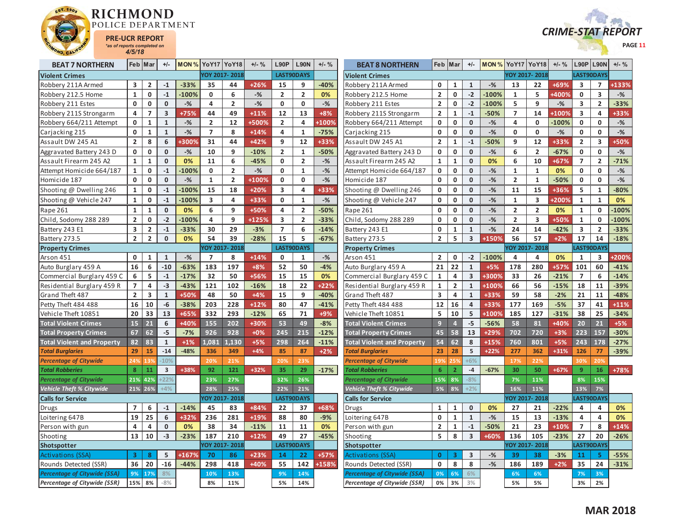



| <b>BEAT 7 NORTHERN</b>              |                         | Feb Mar                 | $+/-$                   | <b>MON % YoY17 YoY18</b> |                |                | $+/-$ % | <b>L90P</b>             | <b>L90N</b>       | $+/-$ % | <b>BEAT 8 NORTHERN</b>              |                         | Feb Mar                 | $+/-$                   | <b>MON % YoY17 YoY18</b> |                |                | $+/-$ % | L90P                    | <b>L90N</b>             | $+/-$ % |
|-------------------------------------|-------------------------|-------------------------|-------------------------|--------------------------|----------------|----------------|---------|-------------------------|-------------------|---------|-------------------------------------|-------------------------|-------------------------|-------------------------|--------------------------|----------------|----------------|---------|-------------------------|-------------------------|---------|
| <b>Violent Crimes</b>               |                         |                         |                         |                          |                | YOY 2017-2018  |         |                         | LAST90DAYS        |         | <b>Violent Crimes</b>               |                         |                         |                         |                          | YOY 2017-2018  |                |         | LAST90DAYS              |                         |         |
| Robbery 211A Armed                  | 3                       | $\overline{2}$          | $-1$                    | $-33%$                   | 35             | 44             | $+26%$  | 15                      | 9                 | -40%    | Robbery 211A Armed                  | 0                       | 1                       | $\mathbf{1}$            | $-$ %                    | 13             | 22             | +69%    | 3                       | $\overline{ }$          | +133%   |
| Robbery 212.5 Home                  | $\mathbf{1}$            | 0                       | $-1$                    | $-100%$                  | $\mathbf{0}$   | 6              | $-$ %   | $\overline{2}$          | $\overline{2}$    | 0%      | Robbery 212.5 Home                  | $\overline{2}$          | $\mathbf 0$             | $-2$                    | $-100%$                  | $\mathbf{1}$   | 5              | +400%   | $\mathbf{0}$            | $\overline{\mathbf{3}}$ | $-$ %   |
| Robbery 211 Estes                   | $\mathbf 0$             | 0                       | $\mathbf 0$             | $-$ %                    | 4              | $\overline{2}$ | $-$ %   | 0                       | 0                 | $-$ %   | Robbery 211 Estes                   | $\overline{2}$          | 0                       | $-2$                    | $-100%$                  | 5              | 9              | $-$ %   | 3                       | $\overline{2}$          | $-33%$  |
| Robbery 211S Strongarm              | 4                       | $\overline{7}$          | $\overline{\mathbf{3}}$ | +75%                     | 44             | 49             | $+11%$  | 12                      | 13                | $+8%$   | Robbery 211S Strongarm              | $\overline{\mathbf{c}}$ | $\mathbf{1}$            | $-1$                    | $-50%$                   | $\overline{7}$ | 14             | +1009   | $\overline{\mathbf{3}}$ | 4                       | +33%    |
| Robbery 664/211 Attempt             | 0                       | 1                       | $\mathbf{1}$            | $-$ %                    | $\overline{2}$ | 12             | +500%   | $\overline{2}$          | 4                 | +100%   | Robbery 664/211 Attempt             | 0                       | $\mathbf 0$             | $\mathbf{0}$            | $-$ %                    | 4              | 0              | $-100%$ | $\mathbf 0$             | $\mathbf 0$             | $-$ %   |
| Carjacking 215                      | $\mathbf 0$             | $\mathbf{1}$            | $\mathbf{1}$            | $-$ %                    | $\overline{7}$ | 8              | $+14%$  | 4                       | $\mathbf{1}$      | $-75%$  | Carjacking 215                      | 0                       | $\mathbf 0$             | $\mathbf{0}$            | $-$ %                    | 0              | 0              | $-$ %   | $\mathbf 0$             | $\mathbf 0$             | $-$ %   |
| Assault DW 245 A1                   | $\overline{2}$          | 8                       | 6                       | +300%                    | 31             | 44             | +42%    | 9                       | 12                | +33%    | Assault DW 245 A1                   | $\overline{2}$          | 1                       | $-1$                    | $-50%$                   | 9              | 12             | +33%    | $\overline{2}$          | 3                       | +50%    |
| Aggravated Battery 243 D            | $\mathbf 0$             | $\mathbf 0$             | $\mathbf{0}$            | $-$ %                    | 10             | 9              | $-10%$  | $\overline{\mathbf{2}}$ | $\mathbf{1}$      | $-50%$  | Aggravated Battery 243 D            | 0                       | $\mathbf 0$             | $\bf{0}$                | $-$ %                    | 6              | $\overline{2}$ | $-67%$  | $\mathbf 0$             | $\mathbf 0$             | $-$ %   |
| Assault Firearm 245 A2              | $\mathbf{1}$            | $\mathbf{1}$            | $\mathbf{0}$            | 0%                       | 11             | 6              | $-45%$  | $\mathbf{0}$            | $\overline{2}$    | $-$ %   | Assault Firearm 245 A2              | $\mathbf{1}$            | $\mathbf{1}$            | $\mathbf{0}$            | 0%                       | 6              | 10             | +67%    | $\overline{7}$          | $\overline{2}$          | $-71%$  |
| Attempt Homicide 664/187            | $\mathbf{1}$            | 0                       | $-1$                    | $-100%$                  | $\mathbf 0$    | $\overline{2}$ | $-$ %   | $\mathbf 0$             | $\mathbf{1}$      | $-%$    | Attempt Homicide 664/187            | 0                       | $\mathbf 0$             | $\mathbf 0$             | $-$ %                    | $\mathbf{1}$   | $\mathbf{1}$   | 0%      | $\mathbf 0$             | $\mathbf{0}$            | $-$ %   |
| Homicide 187                        | $\mathbf 0$             | $\pmb{0}$               | $\mathbf 0$             | $-$ %                    | $\mathbf 1$    | $\overline{2}$ | +100%   | $\mathbf 0$             | $\mathbf 0$       | $-$ %   | Homicide 187                        | 0                       | $\mathbf 0$             | $\mathbf{0}$            | $-$ %                    | $\mathbf{2}$   | $\mathbf{1}$   | $-50%$  | $\mathbf 0$             | $\mathbf 0$             | $-$ %   |
| Shooting @ Dwelling 246             | $\mathbf{1}$            | 0                       | $\mathbf{-1}$           | $-100%$                  | 15             | 18             | $+20%$  | 3                       | 4                 | +33%    | Shooting @ Dwelling 246             | 0                       | $\mathbf 0$             | $\mathbf{0}$            | $-$ %                    | 11             | 15             | +36%    | 5                       | $\mathbf{1}$            | $-80%$  |
| Shooting @ Vehicle 247              | $\mathbf{1}$            | 0                       | $-1$                    | $-100%$                  | 3              | 4              | +33%    | $\mathbf 0$             | $\mathbf{1}$      | $-$ %   | Shooting @ Vehicle 247              | 0                       | 0                       | $\mathbf{0}$            | $-$ %                    | $\mathbf{1}$   | 3              | +200%   | $\mathbf{1}$            | $\mathbf{1}$            | 0%      |
| Rape 261                            | $\mathbf{1}$            | $\mathbf{1}$            | $\mathbf{0}$            | 0%                       | 6              | 9              | +50%    | 4                       | $\overline{2}$    | $-50%$  | Rape 261                            | 0                       | $\mathbf 0$             | $\mathbf{0}$            | $-%$                     | $\mathbf{2}$   | $\overline{2}$ | 0%      | $\mathbf{1}$            | $\mathbf 0$             | $-100%$ |
| Child, Sodomy 288 289               | $\overline{2}$          | 0                       | $-2$                    | $-100%$                  | 4              | 9              | +125%   | 3                       | $\overline{2}$    | $-33%$  | Child, Sodomy 288 289               | 0                       | $\mathbf 0$             | $\mathbf{0}$            | $-$ %                    | $\overline{2}$ | 3              | +50%    | $\mathbf{1}$            | $\mathbf{0}$            | $-100%$ |
| Battery 243 E1                      | $\overline{\mathbf{3}}$ | $\overline{2}$          | $\mathbf{-1}$           | $-33%$                   | 30             | 29             | $-3%$   | $\overline{7}$          | 6                 | $-14%$  | Battery 243 E1                      | 0                       | $\mathbf{1}$            | $\mathbf 1$             | $-$ %                    | 24             | 14             | $-42%$  | 3                       | $\overline{2}$          | $-33%$  |
| Battery 273.5                       | $\overline{2}$          | $\overline{2}$          | $\mathbf{0}$            | 0%                       | 54             | 39             | $-28%$  | 15                      | 5                 | $-67%$  | Battery 273.5                       | $\overline{2}$          | 5                       | 3                       | +150%                    | 56             | 57             | $+2%$   | 17                      | 14                      | $-18%$  |
| <b>Property Crimes</b>              |                         |                         |                         |                          |                | YOY 2017-2018  |         |                         | LAST90DAYS        |         | <b>Property Crimes</b>              |                         |                         |                         |                          |                | YOY 2017-2018  |         | LAST90DAYS              |                         |         |
| Arson 451                           | $\mathbf 0$             | 1                       | $\mathbf{1}$            | $-$ %                    | $\overline{7}$ | 8              | $+14%$  | 0                       | $\mathbf{1}$      | $-$ %   | Arson 451                           | $\overline{2}$          | $\mathbf 0$             | $-2$                    | $-100%$                  | 4              | 4              | 0%      | 1                       | 3                       | +200%   |
| Auto Burglary 459 A                 | 16                      | 6                       | $-10$                   | $-63%$                   | 183            | 197            | $+8%$   | 52                      | 50                | $-4%$   | Auto Burglary 459 A                 | 21                      | 22                      | $\mathbf{1}$            | $+5%$                    | 178            | 280            | +57%    | 101                     | 60                      | $-41%$  |
| Commercial Burglary 459 C           | 6                       | 5                       | $\mathbf{-1}$           | $-17%$                   | 32             | 50             | +56%    | 15                      | 15                | 0%      | Commercial Burglary 459 C           | 1                       | 4                       | $\overline{\mathbf{3}}$ | +300%                    | 33             | 26             | $-21%$  | $\overline{7}$          | 6                       | $-14%$  |
| Residential Burglary 459 R          | $\overline{7}$          | 4                       | $-3$                    | $-43%$                   | 121            | 102            | $-16%$  | 18                      | 22                | $+22%$  | Residential Burglary 459 R          | $\mathbf{1}$            | $\overline{\mathbf{2}}$ | $\mathbf{1}$            | +100%                    | 66             | 56             | $-15%$  | 18                      | 11                      | $-39%$  |
| Grand Theft 487                     | $\overline{2}$          | $\overline{\mathbf{3}}$ | $\mathbf{1}$            | +50%                     | 48             | 50             | $+4%$   | 15                      | 9                 | $-40%$  | Grand Theft 487                     | $\overline{\mathbf{3}}$ | $\overline{a}$          | $\mathbf{1}$            | +33%                     | 59             | 58             | $-2%$   | 21                      | 11                      | $-48%$  |
| Petty Theft 484 488                 | 16                      | 10                      | $-6$                    | $-38%$                   | 203            | 228            | $+12%$  | 80                      | 47                | $-41%$  | Petty Theft 484 488                 | 12                      | 16                      | $\overline{4}$          | +33%                     | 177            | 169            | $-5%$   | 37                      | 41                      | $+11%$  |
| Vehicle Theft 10851                 | 20                      | 33                      | 13                      | +65%                     | 332            | 293            | $-12%$  | 65                      | 71                | +9%     | Vehicle Theft 10851                 | 5                       | 10                      | 5                       | +100%                    | 185            | 127            | $-31%$  | 38                      | 25                      | $-34%$  |
| <b>Total Violent Crimes</b>         | 15                      | 21                      | 6                       | +40%                     | 155            | 202            | +30%    | 53                      | 49                | $-8%$   | <b>Total Violent Crimes</b>         | 9                       | $\overline{4}$          | $-5$                    | $-56%$                   | 58             | 81             | +40%    | 20                      | 21                      | $+5%$   |
| <b>Total Property Crimes</b>        | 67                      | 62                      | $-5$                    | $-7%$                    | 926            | 928            | $+0%$   | 245                     | 215               | $-12%$  | <b>Total Property Crimes</b>        | 45                      | 58                      | 13                      | +29%                     | 702            | 720            | $+3%$   | 223                     | 157                     | $-30%$  |
| <b>Total Violent and Property</b>   | 82                      | 83                      | $\mathbf{1}$            | $+1%$                    | 1.081          | 1.130          | $+5%$   | 298                     | 264               | $-11%$  | <b>Total Violent and Property</b>   | 54                      | 62                      | 8                       | $+15%$                   | 760            | 801            | $+5%$   | 243                     | 178                     | $-27%$  |
| <b>Total Burglaries</b>             | 29                      | 15                      | $-14$                   | $-48%$                   | 336            | 349            | $+4%$   | 85                      | 87                | $+2%$   | <b>Total Burglaries</b>             | 23                      | 28                      | 5                       | $+22%$                   | 277            | 362            | $+31%$  | 126                     | 77                      | $-39%$  |
| <b>Percentage of Citywide</b>       | 249                     | 139                     | $-10%$                  |                          | 20%            | 21%            |         | 20%                     | 23%               |         | <b>Percentage of Citywide</b>       | 199                     |                         | $+6%$                   |                          | 17%            | 22%            |         | 30%                     | 20%                     |         |
| <b>Total Robberies</b>              | $\boldsymbol{8}$        | 11                      | $\overline{\mathbf{3}}$ | +38%                     | 92             | 121            | +32%    | 35                      | 29                | $-17%$  | <b>Total Robberies</b>              | 6                       | $\overline{2}$          | $-4$                    | $-67%$                   | 30             | 50             | $+67%$  | 9                       | 16                      | +78%    |
| <b>Percentage of Citywide</b>       | 21%                     | 42%                     | $-22%$                  |                          | 23%            | 27%            |         | 32%                     | 26%               |         | <b>Percentage of Citywide</b>       | 15%                     | 8%                      | $-8%$                   |                          | 7%             | 11%            |         | 8%                      | 15%                     |         |
| <b>Vehicle Theft % Citywide</b>     |                         | 21% 26%                 | $+4%$                   |                          | 28%            | 25%            |         | 22%                     | 21%               |         | Vehicle Theft % Citywide            | 5%                      | 8%                      | $+2%$                   |                          | 16%            | 11%            |         | 13%                     | 7%                      |         |
| <b>Calls for Service</b>            |                         |                         |                         |                          |                | YOY 2017-2018  |         |                         | <b>LAST90DAYS</b> |         | <b>Calls for Service</b>            |                         |                         |                         |                          |                | YOY 2017-2018  |         | LAST90DAYS              |                         |         |
| Drugs                               | $\overline{7}$          | 6                       | $-1$                    | $-14%$                   | 45             | 83             | +84%    | 22                      | 37                | +68%    | Drugs                               | $\mathbf{1}$            | $\mathbf{1}$            | $\mathbf{0}$            | 0%                       | 27             | 21             | $-22%$  | 4                       | 4                       | 0%      |
| Loitering 647B                      | 19                      | 25                      | 6                       | +32%                     | 236            | 281            | +19%    | 88                      | 80                | $-9%$   | Loitering 647B                      | 0                       | $\mathbf{1}$            | $\mathbf{1}$            | $-$ %                    | 15             | 13             | $-13%$  | 4                       | 4                       | 0%      |
| Person with gun                     | 4                       | 4                       | $\mathbf 0$             | 0%                       | 38             | 34             | $-11%$  | 11                      | 11                | 0%      | Person with gun                     | $\overline{\mathbf{2}}$ | $\mathbf{1}$            | $\textbf{-1}$           | $-50%$                   | 21             | 23             | +10%    | $\overline{7}$          | 8                       | $+14%$  |
| Shooting                            | 13                      | 10                      | $-3$                    | $-23%$                   | 187            | 210            | $+12%$  | 49                      | 27                | $-45%$  | Shooting                            | 5                       | 8                       | 3                       | +60%                     | 136            | 105            | $-23%$  | 27                      | 20                      | $-26%$  |
| Shotspotter                         |                         |                         |                         |                          |                | YOY 2017-2018  |         |                         | <b>LAST90DAYS</b> |         | Shotspotter                         |                         |                         |                         |                          | YOY 2017-2018  |                |         | LAST90DAYS              |                         |         |
| <b>Activations (SSA)</b>            | $\overline{\mathbf{3}}$ | 8                       | 5                       | +167%                    | 70             | 86             | $+23%$  | 14                      | 22                | +57%    | Activations (SSA)                   | $\mathbf{0}$            | 3                       | $\overline{\mathbf{3}}$ | $-$ %                    | 39             | 38             | $-3%$   | 11                      | 5                       | $-55%$  |
| Rounds Detected (SSR)               | 36                      | 20                      | $-16$                   | $-44%$                   | 298            | 418            | +40%    | 55                      | 142               | +158%   | Rounds Detected (SSR)               | $\mathbf{0}$            | 8                       | 8                       | $-$ %                    | 186            | 189            | $+2%$   | 35                      | 24                      | $-31%$  |
| <b>Percentage of Citywide (SSA)</b> | 9%                      | 17%                     | 8%                      |                          | 10%            | 13%            |         | 9%                      | 14%               |         | <b>Percentage of Citywide (SSA)</b> | 0%                      | 6%                      | 6%                      |                          | 6%             | 6%             |         | 7%                      | 3%                      |         |
| <b>Percentage of Citywide (SSR)</b> | 15% 8%                  |                         | $-8%$                   |                          | 8%             | 11%            |         | 5%                      | 14%               |         | <b>Percentage of Citywide (SSR)</b> | 0%                      | 3%                      | 3%                      |                          | 5%             | 5%             |         | 3%                      | 2%                      |         |